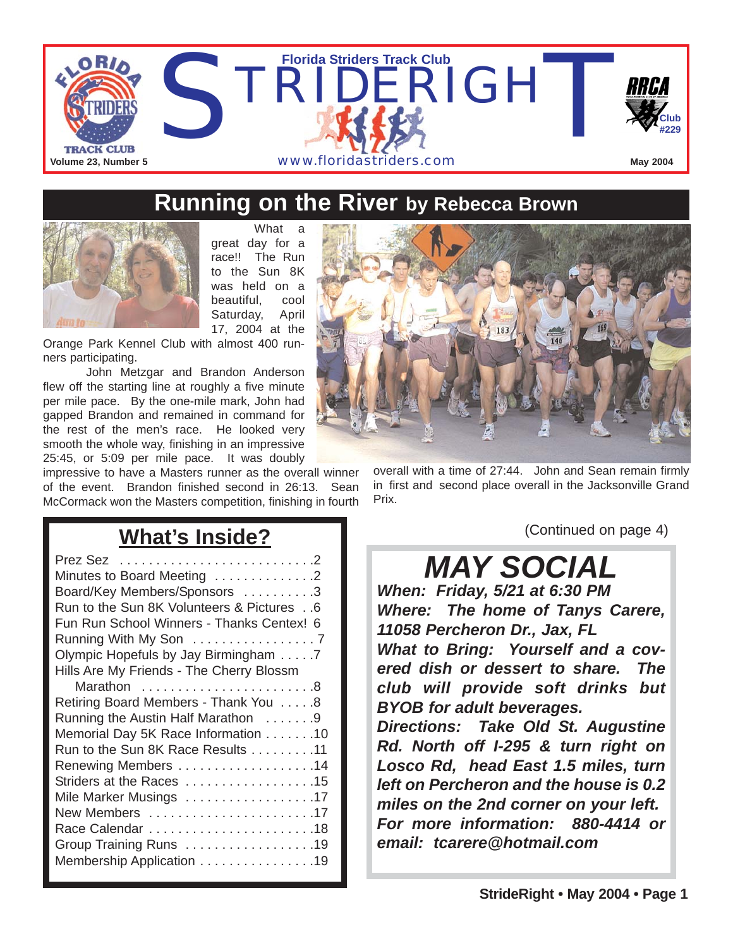

### **Running on the River by Rebecca Brown**



great day for a race!! The Run to the Sun 8K was held on a beautiful, cool Saturday, April 17, 2004 at the

What a

Orange Park Kennel Club with almost 400 runners participating.

John Metzgar and Brandon Anderson flew off the starting line at roughly a five minute per mile pace. By the one-mile mark, John had gapped Brandon and remained in command for the rest of the men's race. He looked very smooth the whole way, finishing in an impressive 25:45, or 5:09 per mile pace. It was doubly

impressive to have a Masters runner as the overall winner of the event. Brandon finished second in 26:13. Sean McCormack won the Masters competition, finishing in fourth



overall with a time of 27:44. John and Sean remain firmly in first and second place overall in the Jacksonville Grand Prix.

**What's Inside?**

*MAY SOCIAL*

(Continued on page 4)

*When: Friday, 5/21 at 6:30 PM Where: The home of Tanys Carere, 11058 Percheron Dr., Jax, FL What to Bring: Yourself and a covered dish or dessert to share. The club will provide soft drinks but BYOB for adult beverages. Directions: Take Old St. Augustine*

*Rd. North off I-295 & turn right on Losco Rd, head East 1.5 miles, turn left on Percheron and the house is 0.2 miles on the 2nd corner on your left. For more information: 880-4414 or email: tcarere@hotmail.com*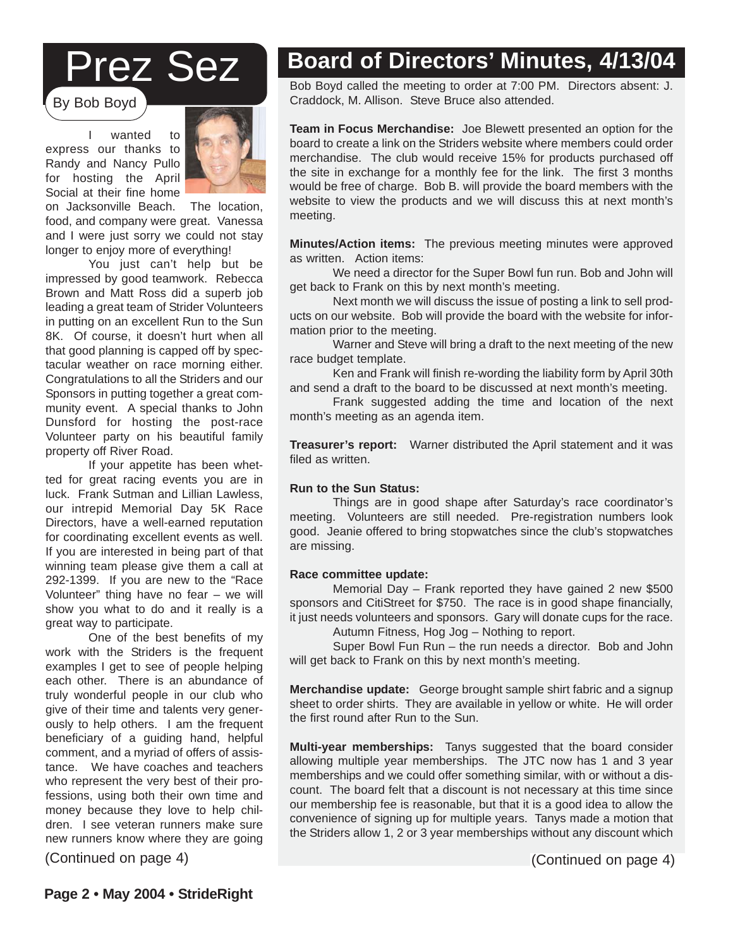## Prez Sez

By Bob Boyd

I wanted to express our thanks to Randy and Nancy Pullo for hosting the April Social at their fine home



on Jacksonville Beach. The location, food, and company were great. Vanessa and I were just sorry we could not stay longer to enjoy more of everything!

You just can't help but be impressed by good teamwork. Rebecca Brown and Matt Ross did a superb job leading a great team of Strider Volunteers in putting on an excellent Run to the Sun 8K. Of course, it doesn't hurt when all that good planning is capped off by spectacular weather on race morning either. Congratulations to all the Striders and our Sponsors in putting together a great community event. A special thanks to John Dunsford for hosting the post-race Volunteer party on his beautiful family property off River Road.

If your appetite has been whetted for great racing events you are in luck. Frank Sutman and Lillian Lawless, our intrepid Memorial Day 5K Race Directors, have a well-earned reputation for coordinating excellent events as well. If you are interested in being part of that winning team please give them a call at 292-1399. If you are new to the "Race Volunteer" thing have no fear – we will show you what to do and it really is a great way to participate.

One of the best benefits of my work with the Striders is the frequent examples I get to see of people helping each other. There is an abundance of truly wonderful people in our club who give of their time and talents very generously to help others. I am the frequent beneficiary of a guiding hand, helpful comment, and a myriad of offers of assistance. We have coaches and teachers who represent the very best of their professions, using both their own time and money because they love to help children. I see veteran runners make sure new runners know where they are going

(Continued on page 4) (Continued on page 4)

## **Board of Directors' Minutes, 4/13/04**

Bob Boyd called the meeting to order at 7:00 PM. Directors absent: J. Craddock, M. Allison. Steve Bruce also attended.

**Team in Focus Merchandise:** Joe Blewett presented an option for the board to create a link on the Striders website where members could order merchandise. The club would receive 15% for products purchased off the site in exchange for a monthly fee for the link. The first 3 months would be free of charge. Bob B. will provide the board members with the website to view the products and we will discuss this at next month's meeting.

**Minutes/Action items:** The previous meeting minutes were approved as written. Action items:

We need a director for the Super Bowl fun run. Bob and John will get back to Frank on this by next month's meeting.

Next month we will discuss the issue of posting a link to sell products on our website. Bob will provide the board with the website for information prior to the meeting.

Warner and Steve will bring a draft to the next meeting of the new race budget template.

Ken and Frank will finish re-wording the liability form by April 30th and send a draft to the board to be discussed at next month's meeting.

Frank suggested adding the time and location of the next month's meeting as an agenda item.

**Treasurer's report:** Warner distributed the April statement and it was filed as written.

#### **Run to the Sun Status:**

Things are in good shape after Saturday's race coordinator's meeting. Volunteers are still needed. Pre-registration numbers look good. Jeanie offered to bring stopwatches since the club's stopwatches are missing.

#### **Race committee update:**

**Strider Contributed and Spensors:** Carly Will defined superior that<br>Autumn Fitness, Hog Jog – Nothing to report.<br>Super Bowl Fun Bun – the run peods a director. Bob and Memorial Day – Frank reported they have gained 2 new \$500 sponsors and CitiStreet for \$750. The race is in good shape financially, it just needs volunteers and sponsors. Gary will donate cups for the race.

will get back to Frank on this by next month's meeting. Super Bowl Fun Run – the run needs a director. Bob and John

Merchandise update: George brought sample shirt fabric and a signup sheet to order shirts. They are available in yellow or white. He will order<br>the first round after Run to the Sun official the Loop (17 near the Loop of many years) for many years. the first round after Run to the Sun.

**Multi-year memberships:** Tanys suggested that the board considerallowing multiple year memberships. The JTC now has 1 and 3 year allowing multiple year memberships. The JTC now has 1 and 3 year memberships and we could offer something similar, with or without a discount. The board felt that a discount is not necessary at this time since<br>our membership fee is reasonable, but that it is a good idea to allow the The measurement of signing up for multiple years. Tanys made a motion that count. The board felt that a discount is not necessary at this time since the Striders allow 1, 2 or 3 year memberships without any discount which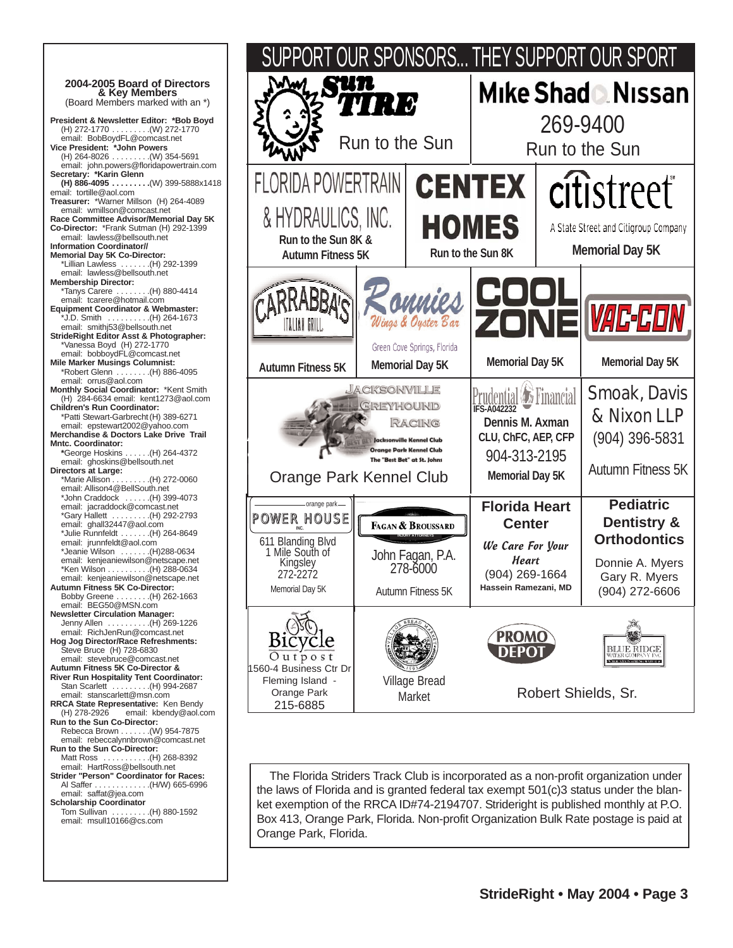**2004-2005 Board of Directors**  (Board Members marked with an \*) **President & Newsletter Editor: \*Bob Boyd** (H) 272-1770 . . . . . . . . .(W) 272-1770 email: BobBoydFL@comcast.net **Vice President: \*John Powers** (H) 264-8026 . . . . . . . . .(W) 354-5691 email: john.powers@floridapowertrain.com **Secretary: \*Karin Glenn (H) 886-4095 . . . . . . . . .**(W) 399-5888x1418 email: tortille@aol.com **Treasurer:** \*Warner Millson (H) 264-4089 email: wmillson@comcast.net **Race Committee Advisor/Memorial Day 5K Co-Director:** \*Frank Sutman (H) 292-1399 email: lawless@bellsouth.net **Information Coordinator// Memorial Day 5K Co-Director:** \*Lillian Lawless . . . . . . .(H) 292-1399 email: lawless@bellsouth.net **Membership Director:** \*Tanys Carere . . . . . . . .(H) 880-4414 email: tcarere@hotmail.com **Equipment Coordinator & Webmaster:** \*J.D. Smith . . . . . . . . . .(H) 264-1673 email: smithj53@bellsouth.net **StrideRight Editor Asst & Photographer:** \*Vanessa Boyd (H) 272-1770 email: bobboydFL@comcast.net **Mile Marker Musings Columnist:**  $\ldots$  . . . . . . (H) 886-4095 email: orrus@aol.com **Monthly Social Coordinator:** \*Kent Smith (H) 284-6634 email: kent1273@aol.com **Children's Run Coordinator:**  \*Patti Stewart-Garbrecht(H) 389-6271 email: epstewart2002@yahoo.com **Merchandise & Doctors Lake Drive Trail Mntc. Coordinator: \***George Hoskins . . . . . .(H) 264-4372 email: ghoskins@bellsouth.net **Directors at Large:**  $\ldots$  (H) 272-0060 email: Allison4@BellSouth.net \*John Craddock . . . . . .(H) 399-4073 email: jacraddock@comcast.net \*Gary Hallett . . . . . . . . .(H) 292-2793 email: ghall32447@aol.com \*Julie Runnfeldt . . . . . . .(H) 264-8649 email: jrunnfeldt@aol.com \*Jeanie Wilson . . . . . . .(H)288-0634 email: kenjeaniewilson@netscape.net \*Ken Wilson . . . . . . . . . .(H) 288-0634 email: kenjeaniewilson@netscape.net **Autumn Fitness 5K Co-Director:** Bobby Greene . . . . . . . .(H) 262-1663 email: BEG50@MSN.com **Newsletter Circulation Manager:**  $\ldots$  . . . . . . (H) 269-1226 email: RichJenRun@comcast.net **Hog Jog Director/Race Refreshments:**  Steve Bruce (H) 728-6830 email: stevebruce@comcast.net **Autumn Fitness 5K Co-Director & River Run Hospitality Tent Coordinator:** Stan Scarlett . . . . . . . . . . (H) 994-2687 email: stanscarlett@msn.com **RRCA State Representative:** Ken Bendy<br>(H) 278-2926 email: kbendy@aol.c email: kbendy@aol.com **Run to the Sun Co-Director:** Rebecca Brown . . . . . . .(W) 954-7875 email: rebeccalynnbrown@comcast.net **Run to the Sun Co-Director:** Matt Ross . . . . . . . . . . .(H) 268-8392 email: HartRoss@bellsouth.net **Strider "Person" Coordinator for Races:** Al Saffer . . . . . . . . . . . . .(H/W) 665-6996 email: saffat@jea.com **Scholarship Coordinator** Tom Sullivan . . . . . . . . .(H) 880-1592 email: msull10166@cs.com



The Florida Striders Track Club is incorporated as a non-profit organization under the laws of Florida and is granted federal tax exempt 501(c)3 status under the blanket exemption of the RRCA ID#74-2194707. Strideright is published monthly at P.O. Box 413, Orange Park, Florida. Non-profit Organization Bulk Rate postage is paid at Orange Park, Florida.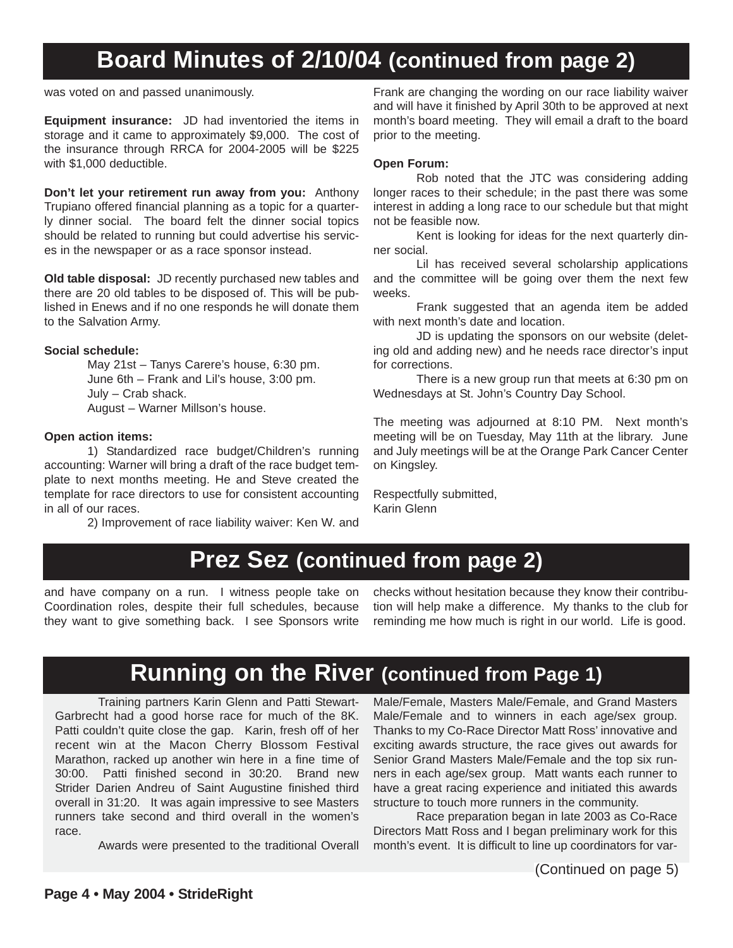## **Board Minutes of 2/10/04 (continued from page 2)**

was voted on and passed unanimously.

**Equipment insurance:** JD had inventoried the items in storage and it came to approximately \$9,000. The cost of the insurance through RRCA for 2004-2005 will be \$225 with \$1,000 deductible.

**Don't let your retirement run away from you:** Anthony Trupiano offered financial planning as a topic for a quarterly dinner social. The board felt the dinner social topics should be related to running but could advertise his services in the newspaper or as a race sponsor instead.

**Old table disposal:** JD recently purchased new tables and there are 20 old tables to be disposed of. This will be published in Enews and if no one responds he will donate them to the Salvation Army.

#### **Social schedule:**

May 21st – Tanys Carere's house, 6:30 pm. June 6th – Frank and Lil's house, 3:00 pm. July – Crab shack. August – Warner Millson's house.

#### **Open action items:**

1) Standardized race budget/Children's running accounting: Warner will bring a draft of the race budget template to next months meeting. He and Steve created the template for race directors to use for consistent accounting in all of our races.

2) Improvement of race liability waiver: Ken W. and

Frank are changing the wording on our race liability waiver and will have it finished by April 30th to be approved at next month's board meeting. They will email a draft to the board prior to the meeting.

#### **Open Forum:**

Rob noted that the JTC was considering adding longer races to their schedule; in the past there was some interest in adding a long race to our schedule but that might not be feasible now.

Kent is looking for ideas for the next quarterly dinner social.

Lil has received several scholarship applications and the committee will be going over them the next few weeks.

Frank suggested that an agenda item be added with next month's date and location.

JD is updating the sponsors on our website (deleting old and adding new) and he needs race director's input for corrections.

There is a new group run that meets at 6:30 pm on Wednesdays at St. John's Country Day School.

The meeting was adjourned at 8:10 PM. Next month's meeting will be on Tuesday, May 11th at the library. June and July meetings will be at the Orange Park Cancer Center on Kingsley.

Respectfully submitted, Karin Glenn

### **Prez Sez (continued from page 2)**

and have company on a run. I witness people take on Coordination roles, despite their full schedules, because they want to give something back. I see Sponsors write checks without hesitation because they know their contribution will help make a difference. My thanks to the club for reminding me how much is right in our world. Life is good.

### **Running on the River (continued from Page 1)**

Training partners Karin Glenn and Patti Stewart-Garbrecht had a good horse race for much of the 8K. Patti couldn't quite close the gap. Karin, fresh off of her recent win at the Macon Cherry Blossom Festival Marathon, racked up another win here in a fine time of 30:00. Patti finished second in 30:20. Brand new Strider Darien Andreu of Saint Augustine finished third overall in 31:20. It was again impressive to see Masters runners take second and third overall in the women's race.

Awards were presented to the traditional Overall

Male/Female, Masters Male/Female, and Grand Masters Male/Female and to winners in each age/sex group. Thanks to my Co-Race Director Matt Ross' innovative and exciting awards structure, the race gives out awards for Senior Grand Masters Male/Female and the top six runners in each age/sex group. Matt wants each runner to have a great racing experience and initiated this awards structure to touch more runners in the community.

Race preparation began in late 2003 as Co-Race Directors Matt Ross and I began preliminary work for this month's event. It is difficult to line up coordinators for var-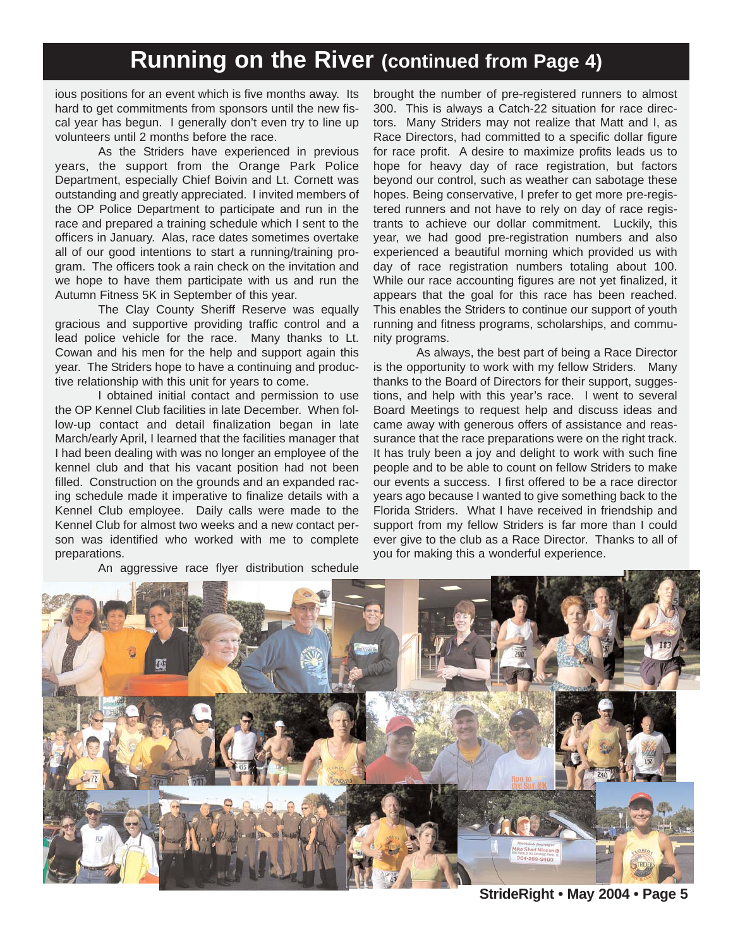### **Running on the River (continued from Page 4)**

ious positions for an event which is five months away. Its hard to get commitments from sponsors until the new fiscal year has begun. I generally don't even try to line up volunteers until 2 months before the race.

As the Striders have experienced in previous years, the support from the Orange Park Police Department, especially Chief Boivin and Lt. Cornett was outstanding and greatly appreciated. I invited members of the OP Police Department to participate and run in the race and prepared a training schedule which I sent to the officers in January. Alas, race dates sometimes overtake all of our good intentions to start a running/training program. The officers took a rain check on the invitation and we hope to have them participate with us and run the Autumn Fitness 5K in September of this year.

The Clay County Sheriff Reserve was equally gracious and supportive providing traffic control and a lead police vehicle for the race. Many thanks to Lt. Cowan and his men for the help and support again this year. The Striders hope to have a continuing and productive relationship with this unit for years to come.

I obtained initial contact and permission to use the OP Kennel Club facilities in late December. When follow-up contact and detail finalization began in late March/early April, I learned that the facilities manager that I had been dealing with was no longer an employee of the kennel club and that his vacant position had not been filled. Construction on the grounds and an expanded racing schedule made it imperative to finalize details with a Kennel Club employee. Daily calls were made to the Kennel Club for almost two weeks and a new contact person was identified who worked with me to complete preparations.

An aggressive race flyer distribution schedule

brought the number of pre-registered runners to almost 300. This is always a Catch-22 situation for race directors. Many Striders may not realize that Matt and I, as Race Directors, had committed to a specific dollar figure for race profit. A desire to maximize profits leads us to hope for heavy day of race registration, but factors beyond our control, such as weather can sabotage these hopes. Being conservative, I prefer to get more pre-registered runners and not have to rely on day of race registrants to achieve our dollar commitment. Luckily, this year, we had good pre-registration numbers and also experienced a beautiful morning which provided us with day of race registration numbers totaling about 100. While our race accounting figures are not yet finalized, it appears that the goal for this race has been reached. This enables the Striders to continue our support of youth running and fitness programs, scholarships, and community programs.

As always, the best part of being a Race Director is the opportunity to work with my fellow Striders. Many thanks to the Board of Directors for their support, suggestions, and help with this year's race. I went to several Board Meetings to request help and discuss ideas and came away with generous offers of assistance and reassurance that the race preparations were on the right track. It has truly been a joy and delight to work with such fine people and to be able to count on fellow Striders to make our events a success. I first offered to be a race director years ago because I wanted to give something back to the Florida Striders. What I have received in friendship and support from my fellow Striders is far more than I could ever give to the club as a Race Director. Thanks to all of you for making this a wonderful experience.



**StrideRight • May 2004 • Page 5**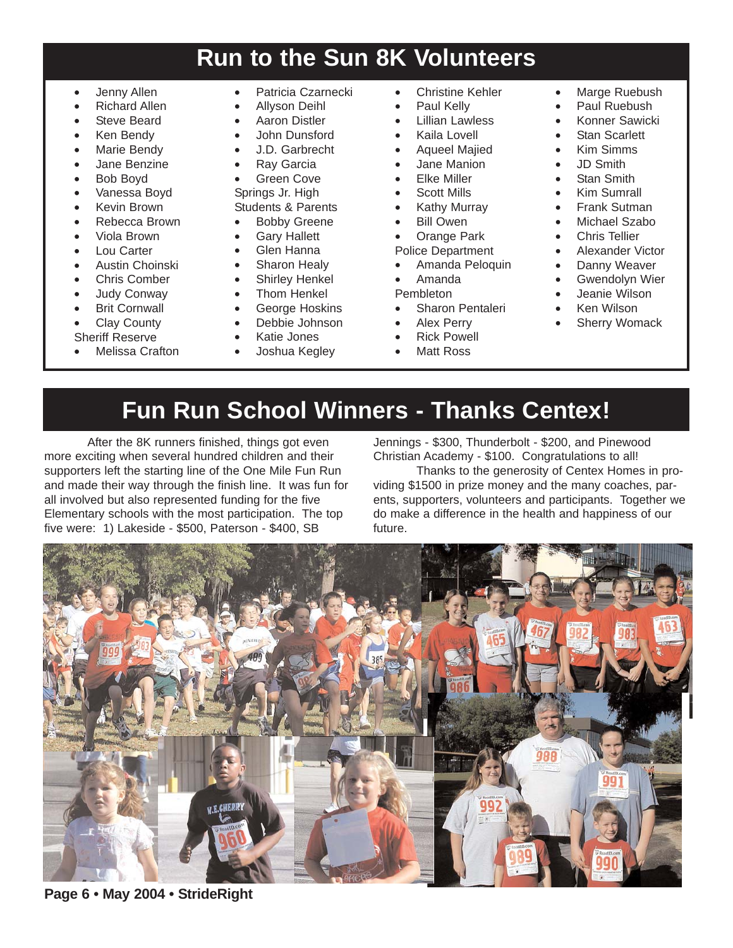## **Run to the Sun 8K Volunteers**

- Jenny Allen
- Richard Allen
- Steve Beard
- Ken Bendy
- Marie Bendy
- Jane Benzine
- Bob Boyd
- Vanessa Boyd
- Kevin Brown
- Rebecca Brown
- Viola Brown
- Lou Carter
- Austin Choinski
- Chris Comber
- Judy Conway
- **Brit Cornwall**
- Clay County
- Sheriff Reserve
- Melissa Crafton
- Patricia Czarnecki
- Allyson Deihl
- Aaron Distler
- John Dunsford
- J.D. Garbrecht
- **Ray Garcia**
- Green Cove
- Springs Jr. High
- Students & Parents
- Bobby Greene
- **Gary Hallett**
- Glen Hanna
- Sharon Healy
- 
- 
- George Hoskins
- Debbie Johnson
- Katie Jones
	- Joshua Kegley
- Christine Kehler
- Paul Kelly
- Lillian Lawless
- Kaila Lovell
- Aqueel Majied
- Jane Manion
- Elke Miller
- Scott Mills
- Kathy Murray
- Bill Owen

• Orange Park Police Department

- Amanda Peloquin
- Amanda
- Pembleton
- 
- Sharon Pentaleri
- Alex Perry
- **Rick Powell**
- **Matt Ross**
- Marge Ruebush
- Paul Ruebush
- Konner Sawicki
- Stan Scarlett
- Kim Simms
- JD Smith
- Stan Smith
- Kim Sumrall
- Frank Sutman
- Michael Szabo
- Chris Tellier
- Alexander Victor
- Danny Weaver
- Gwendolyn Wier
- Jeanie Wilson
- Ken Wilson
- Sherry Womack
- **Fun Run School Winners Thanks Centex!**

After the 8K runners finished, things got even more exciting when several hundred children and their supporters left the starting line of the One Mile Fun Run and made their way through the finish line. It was fun for all involved but also represented funding for the five Elementary schools with the most participation. The top five were: 1) Lakeside - \$500, Paterson - \$400, SB

Jennings - \$300, Thunderbolt - \$200, and Pinewood Christian Academy - \$100. Congratulations to all!

Thanks to the generosity of Centex Homes in providing \$1500 in prize money and the many coaches, parents, supporters, volunteers and participants. Together we do make a difference in the health and happiness of our future.



**Page 6 • May 2004 • StrideRight**

- Shirley Henkel
- Thom Henkel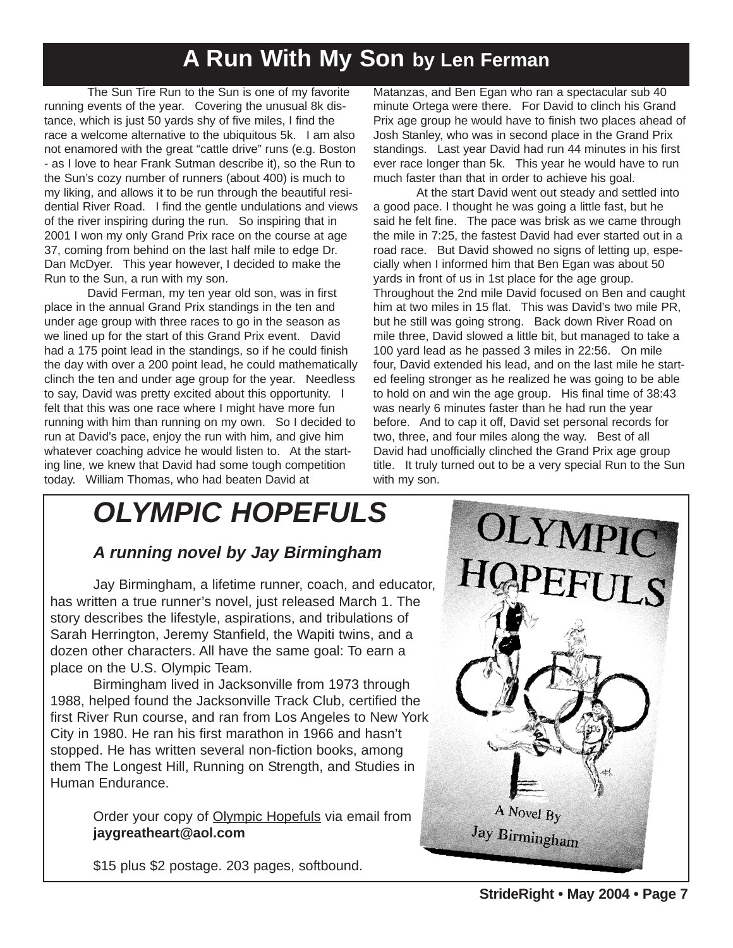## **A Run With My Son by Len Ferman**

The Sun Tire Run to the Sun is one of my favorite running events of the year. Covering the unusual 8k distance, which is just 50 yards shy of five miles, I find the race a welcome alternative to the ubiquitous 5k. I am also not enamored with the great "cattle drive" runs (e.g. Boston - as I love to hear Frank Sutman describe it), so the Run to the Sun's cozy number of runners (about 400) is much to my liking, and allows it to be run through the beautiful residential River Road. I find the gentle undulations and views of the river inspiring during the run. So inspiring that in 2001 I won my only Grand Prix race on the course at age 37, coming from behind on the last half mile to edge Dr. Dan McDyer. This year however, I decided to make the Run to the Sun, a run with my son.

David Ferman, my ten year old son, was in first place in the annual Grand Prix standings in the ten and under age group with three races to go in the season as we lined up for the start of this Grand Prix event. David had a 175 point lead in the standings, so if he could finish the day with over a 200 point lead, he could mathematically clinch the ten and under age group for the year. Needless to say, David was pretty excited about this opportunity. I felt that this was one race where I might have more fun running with him than running on my own. So I decided to run at David's pace, enjoy the run with him, and give him whatever coaching advice he would listen to. At the starting line, we knew that David had some tough competition today. William Thomas, who had beaten David at

Matanzas, and Ben Egan who ran a spectacular sub 40 minute Ortega were there. For David to clinch his Grand Prix age group he would have to finish two places ahead of Josh Stanley, who was in second place in the Grand Prix standings. Last year David had run 44 minutes in his first ever race longer than 5k. This year he would have to run much faster than that in order to achieve his goal.

At the start David went out steady and settled into a good pace. I thought he was going a little fast, but he said he felt fine. The pace was brisk as we came through the mile in 7:25, the fastest David had ever started out in a road race. But David showed no signs of letting up, especially when I informed him that Ben Egan was about 50 yards in front of us in 1st place for the age group. Throughout the 2nd mile David focused on Ben and caught him at two miles in 15 flat. This was David's two mile PR, but he still was going strong. Back down River Road on mile three, David slowed a little bit, but managed to take a 100 yard lead as he passed 3 miles in 22:56. On mile four, David extended his lead, and on the last mile he started feeling stronger as he realized he was going to be able to hold on and win the age group. His final time of 38:43 was nearly 6 minutes faster than he had run the year before. And to cap it off, David set personal records for two, three, and four miles along the way. Best of all David had unofficially clinched the Grand Prix age group title. It truly turned out to be a very special Run to the Sun with my son.

## *OLYMPIC HOPEFULS*

### *A running novel by Jay Birmingham*

Jay Birmingham, a lifetime runner, coach, and educator, has written a true runner's novel, just released March 1. The story describes the lifestyle, aspirations, and tribulations of Sarah Herrington, Jeremy Stanfield, the Wapiti twins, and a dozen other characters. All have the same goal: To earn a place on the U.S. Olympic Team.

Birmingham lived in Jacksonville from 1973 through 1988, helped found the Jacksonville Track Club, certified the first River Run course, and ran from Los Angeles to New York City in 1980. He ran his first marathon in 1966 and hasn't stopped. He has written several non-fiction books, among them The Longest Hill, Running on Strength, and Studies in Human Endurance.

> Order your copy of Olympic Hopefuls via email from **jaygreatheart@aol.com**



\$15 plus \$2 postage. 203 pages, softbound.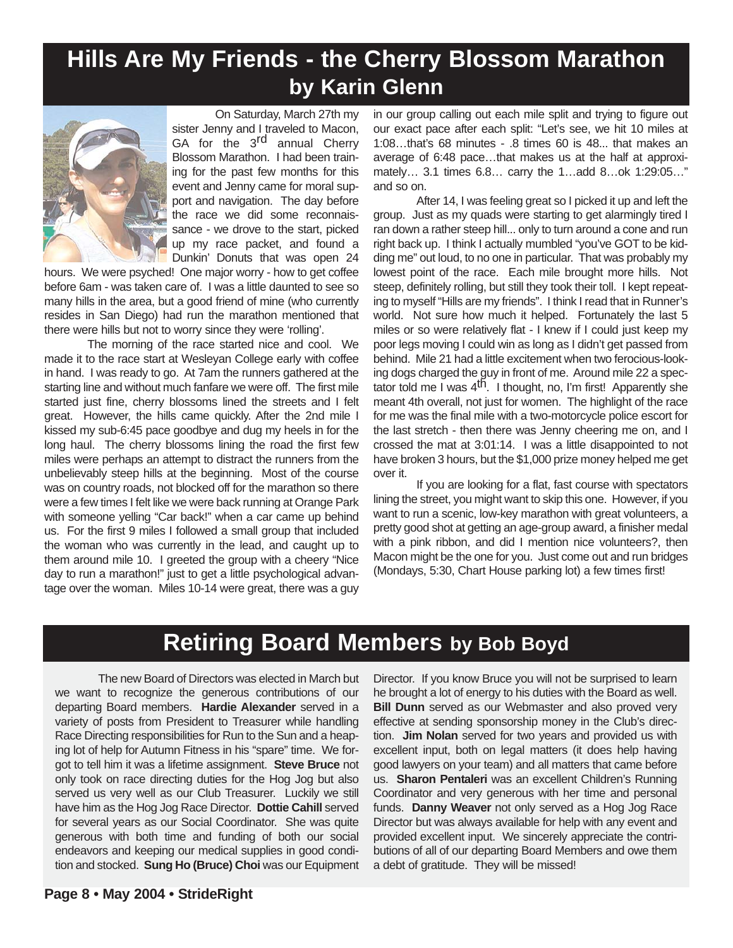## **Hills Are My Friends - the Cherry Blossom Marathon by Karin Glenn**



On Saturday, March 27th my sister Jenny and I traveled to Macon, GA for the 3<sup>rd</sup> annual Cherry Blossom Marathon. I had been training for the past few months for this event and Jenny came for moral support and navigation. The day before the race we did some reconnaissance - we drove to the start, picked up my race packet, and found a Dunkin' Donuts that was open 24

hours. We were psyched! One major worry - how to get coffee before 6am - was taken care of. I was a little daunted to see so many hills in the area, but a good friend of mine (who currently resides in San Diego) had run the marathon mentioned that there were hills but not to worry since they were 'rolling'.

The morning of the race started nice and cool. We made it to the race start at Wesleyan College early with coffee in hand. I was ready to go. At 7am the runners gathered at the starting line and without much fanfare we were off. The first mile started just fine, cherry blossoms lined the streets and I felt great. However, the hills came quickly. After the 2nd mile I kissed my sub-6:45 pace goodbye and dug my heels in for the long haul. The cherry blossoms lining the road the first few miles were perhaps an attempt to distract the runners from the unbelievably steep hills at the beginning. Most of the course was on country roads, not blocked off for the marathon so there were a few times I felt like we were back running at Orange Park with someone yelling "Car back!" when a car came up behind us. For the first 9 miles I followed a small group that included the woman who was currently in the lead, and caught up to them around mile 10. I greeted the group with a cheery "Nice day to run a marathon!" just to get a little psychological advantage over the woman. Miles 10-14 were great, there was a guy

in our group calling out each mile split and trying to figure out our exact pace after each split: "Let's see, we hit 10 miles at 1:08…that's 68 minutes - .8 times 60 is 48... that makes an average of 6:48 pace…that makes us at the half at approximately… 3.1 times 6.8… carry the 1…add 8…ok 1:29:05…" and so on.

After 14, I was feeling great so I picked it up and left the group. Just as my quads were starting to get alarmingly tired I ran down a rather steep hill... only to turn around a cone and run right back up. I think I actually mumbled "you've GOT to be kidding me" out loud, to no one in particular. That was probably my lowest point of the race. Each mile brought more hills. Not steep, definitely rolling, but still they took their toll. I kept repeating to myself "Hills are my friends". I think I read that in Runner's world. Not sure how much it helped. Fortunately the last 5 miles or so were relatively flat - I knew if I could just keep my poor legs moving I could win as long as I didn't get passed from behind. Mile 21 had a little excitement when two ferocious-looking dogs charged the guy in front of me. Around mile 22 a spectator told me I was  $4<sup>th</sup>$ . I thought, no, I'm first! Apparently she meant 4th overall, not just for women. The highlight of the race for me was the final mile with a two-motorcycle police escort for the last stretch - then there was Jenny cheering me on, and I crossed the mat at 3:01:14. I was a little disappointed to not have broken 3 hours, but the \$1,000 prize money helped me get over it.

If you are looking for a flat, fast course with spectators lining the street, you might want to skip this one. However, if you want to run a scenic, low-key marathon with great volunteers, a pretty good shot at getting an age-group award, a finisher medal with a pink ribbon, and did I mention nice volunteers?, then Macon might be the one for you. Just come out and run bridges (Mondays, 5:30, Chart House parking lot) a few times first!

### **Retiring Board Members by Bob Boyd**

The new Board of Directors was elected in March but we want to recognize the generous contributions of our departing Board members. **Hardie Alexander** served in a variety of posts from President to Treasurer while handling Race Directing responsibilities for Run to the Sun and a heaping lot of help for Autumn Fitness in his "spare" time. We forgot to tell him it was a lifetime assignment. **Steve Bruce** not only took on race directing duties for the Hog Jog but also served us very well as our Club Treasurer. Luckily we still have him as the Hog Jog Race Director. **Dottie Cahill** served for several years as our Social Coordinator. She was quite generous with both time and funding of both our social endeavors and keeping our medical supplies in good condition and stocked. **Sung Ho (Bruce) Choi** was our Equipment

**Page 8 • May 2004 • StrideRight**

Director. If you know Bruce you will not be surprised to learn he brought a lot of energy to his duties with the Board as well. **Bill Dunn** served as our Webmaster and also proved very effective at sending sponsorship money in the Club's direction. **Jim Nolan** served for two years and provided us with excellent input, both on legal matters (it does help having good lawyers on your team) and all matters that came before us. **Sharon Pentaleri** was an excellent Children's Running Coordinator and very generous with her time and personal funds. **Danny Weaver** not only served as a Hog Jog Race Director but was always available for help with any event and provided excellent input. We sincerely appreciate the contributions of all of our departing Board Members and owe them a debt of gratitude. They will be missed!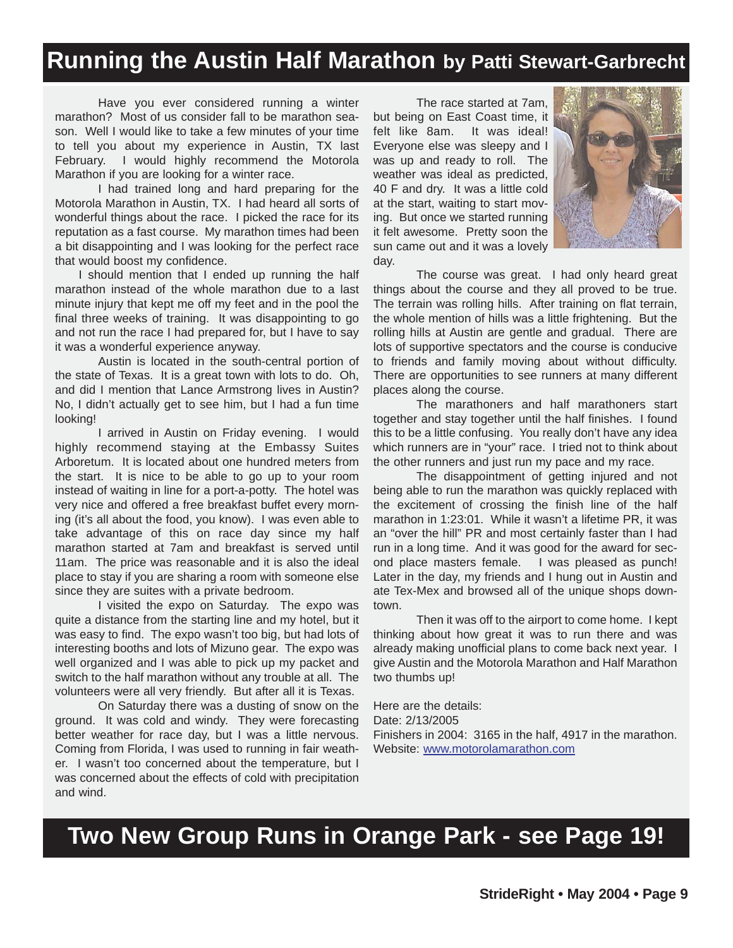### **Running the Austin Half Marathon by Patti Stewart-Garbrecht**

Have you ever considered running a winter marathon? Most of us consider fall to be marathon season. Well I would like to take a few minutes of your time to tell you about my experience in Austin, TX last February. I would highly recommend the Motorola Marathon if you are looking for a winter race.

I had trained long and hard preparing for the Motorola Marathon in Austin, TX. I had heard all sorts of wonderful things about the race. I picked the race for its reputation as a fast course. My marathon times had been a bit disappointing and I was looking for the perfect race that would boost my confidence.

I should mention that I ended up running the half marathon instead of the whole marathon due to a last minute injury that kept me off my feet and in the pool the final three weeks of training. It was disappointing to go and not run the race I had prepared for, but I have to say it was a wonderful experience anyway.

Austin is located in the south-central portion of the state of Texas. It is a great town with lots to do. Oh, and did I mention that Lance Armstrong lives in Austin? No, I didn't actually get to see him, but I had a fun time looking!

I arrived in Austin on Friday evening. I would highly recommend staying at the Embassy Suites Arboretum. It is located about one hundred meters from the start. It is nice to be able to go up to your room instead of waiting in line for a port-a-potty. The hotel was very nice and offered a free breakfast buffet every morning (it's all about the food, you know). I was even able to take advantage of this on race day since my half marathon started at 7am and breakfast is served until 11am. The price was reasonable and it is also the ideal place to stay if you are sharing a room with someone else since they are suites with a private bedroom.

I visited the expo on Saturday. The expo was quite a distance from the starting line and my hotel, but it was easy to find. The expo wasn't too big, but had lots of interesting booths and lots of Mizuno gear. The expo was well organized and I was able to pick up my packet and switch to the half marathon without any trouble at all. The volunteers were all very friendly. But after all it is Texas.

On Saturday there was a dusting of snow on the ground. It was cold and windy. They were forecasting better weather for race day, but I was a little nervous. Coming from Florida, I was used to running in fair weather. I wasn't too concerned about the temperature, but I was concerned about the effects of cold with precipitation and wind.

The race started at 7am, but being on East Coast time, it felt like 8am. It was ideal! Everyone else was sleepy and I was up and ready to roll. The weather was ideal as predicted, 40 F and dry. It was a little cold at the start, waiting to start moving. But once we started running it felt awesome. Pretty soon the sun came out and it was a lovely day.



The course was great. I had only heard great things about the course and they all proved to be true. The terrain was rolling hills. After training on flat terrain, the whole mention of hills was a little frightening. But the rolling hills at Austin are gentle and gradual. There are lots of supportive spectators and the course is conducive to friends and family moving about without difficulty. There are opportunities to see runners at many different places along the course.

The marathoners and half marathoners start together and stay together until the half finishes. I found this to be a little confusing. You really don't have any idea which runners are in "your" race. I tried not to think about the other runners and just run my pace and my race.

The disappointment of getting injured and not being able to run the marathon was quickly replaced with the excitement of crossing the finish line of the half marathon in 1:23:01. While it wasn't a lifetime PR, it was an "over the hill" PR and most certainly faster than I had run in a long time. And it was good for the award for second place masters female. I was pleased as punch! Later in the day, my friends and I hung out in Austin and ate Tex-Mex and browsed all of the unique shops downtown.

Then it was off to the airport to come home. I kept thinking about how great it was to run there and was already making unofficial plans to come back next year. I give Austin and the Motorola Marathon and Half Marathon two thumbs up!

Here are the details: Date: 2/13/2005 Finishers in 2004: 3165 in the half, 4917 in the marathon. Website: www.motorolamarathon.com

## **Two New Group Runs in Orange Park - see Page 19!**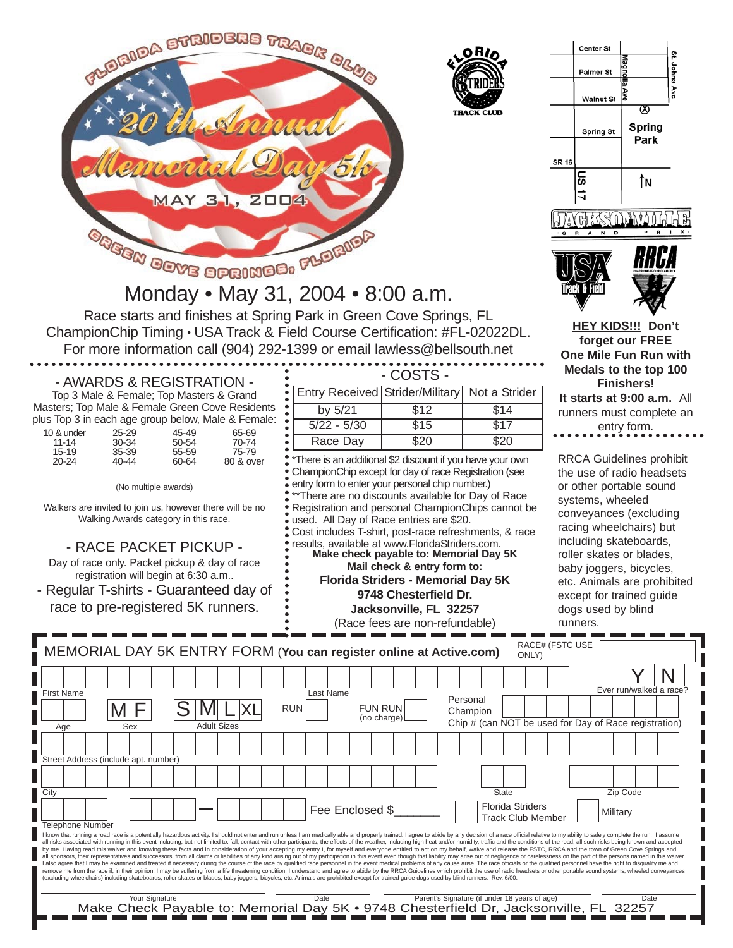

CLI IR

|                                           | Center St        |                                     |               |  |  |  |  |  |
|-------------------------------------------|------------------|-------------------------------------|---------------|--|--|--|--|--|
|                                           | <b>Palmer St</b> | Magndlia Ave                        | St. Johns Ave |  |  |  |  |  |
|                                           | Walnut St        |                                     |               |  |  |  |  |  |
|                                           | Spring St        | ⊗<br>Spring                         |               |  |  |  |  |  |
| SR 16                                     |                  | Park                                |               |  |  |  |  |  |
|                                           | <b>11 SN</b>     | ÎN                                  |               |  |  |  |  |  |
| n<br>x<br>P<br>R<br>N<br>D<br>R<br>A<br>G |                  |                                     |               |  |  |  |  |  |
|                                           |                  | <b>1040 RUBBIAS CLUB OF AMERICA</b> |               |  |  |  |  |  |

Track & Field

**HEY KIDS!!! Don't forget our FREE One Mile Fun Run with Medals to the top 100 Finishers! It starts at 9:00 a.m.** All runners must complete an entry form.

RRCA Guidelines prohibit the use of radio headsets or other portable sound systems, wheeled conveyances (excluding racing wheelchairs) but including skateboards, roller skates or blades, baby joggers, bicycles, etc. Animals are prohibited except for trained guide dogs used by blind runners.

| Race starts and finishes at Spring Park in Green Cove Springs, FL                                                   |                                                 |           |  |  |  |  |  |  |
|---------------------------------------------------------------------------------------------------------------------|-------------------------------------------------|-----------|--|--|--|--|--|--|
| ChampionChip Timing . USA Track & Field Course Certification: #FL-02022DL.                                          |                                                 |           |  |  |  |  |  |  |
| For more information call (904) 292-1399 or email lawless@bellsouth.net                                             |                                                 |           |  |  |  |  |  |  |
| - AWARDS & REGISTRATION -                                                                                           |                                                 | - COSTS - |  |  |  |  |  |  |
| Top 3 Male & Female; Top Masters & Grand                                                                            | Entry Received Strider/Military   Not a Strider |           |  |  |  |  |  |  |
| Masters; Top Male & Female Green Cove Residents<br>aliza Tare O to said a ser presidente la data e Mada O Esperador | by 5/21                                         | 514       |  |  |  |  |  |  |

Monday • May 31, 2004 • 8:00 a.m.

|                         |                    |                | plus Top 3 in each age group below, Male & Female: • |                                                                                                                    |      |      |
|-------------------------|--------------------|----------------|------------------------------------------------------|--------------------------------------------------------------------------------------------------------------------|------|------|
|                         |                    |                |                                                      | $5/22 - 5/30$                                                                                                      | \$15 | \$17 |
| 10 & under<br>$11 - 14$ | $25 - 29$<br>30-34 | 45-49<br>50-54 | 65-69<br>70-74                                       | Race Dav                                                                                                           | \$20 | \$20 |
| $15 - 19$<br>$20 - 24$  | 35-39<br>40-44     | 55-59<br>60-64 | 75-79<br>80 & over                                   | • *There is an additional \$2 discount if you have your o<br>• ChampionChip except for day of race Registration (s |      |      |

(No multiple awards)

Walkers are invited to join us, however there will be no Walking Awards category in this race.

- RACE PACKET PICKUP -

Day of race only. Packet pickup & day of race registration will begin at 6:30 a.m..

- Regular T-shirts - Guaranteed day of race to pre-registered 5K runners.

| by $5/21$                                                                                                                                                                                                                                                                                                                                                                                                                                                                                                                                                                              | $\overline{$12}$      | $\overline{$}14$ |  |  |  |  |  |
|----------------------------------------------------------------------------------------------------------------------------------------------------------------------------------------------------------------------------------------------------------------------------------------------------------------------------------------------------------------------------------------------------------------------------------------------------------------------------------------------------------------------------------------------------------------------------------------|-----------------------|------------------|--|--|--|--|--|
| $5/22 - 5/30$                                                                                                                                                                                                                                                                                                                                                                                                                                                                                                                                                                          | $\overline{$15}$      | $\overline{$17}$ |  |  |  |  |  |
| Race Day                                                                                                                                                                                                                                                                                                                                                                                                                                                                                                                                                                               | \$20                  | $\overline{$}20$ |  |  |  |  |  |
| *There is an additional \$2 discount if you have your own<br>ChampionChip except for day of race Registration (see<br>entry form to enter your personal chip number.)<br>** There are no discounts available for Day of Race<br>Registration and personal ChampionChips cannot be<br>used. All Day of Race entries are \$20.<br>Cost includes T-shirt, post-race refreshments, & race<br>results, available at www.FloridaStriders.com.<br>Make check payable to: Memorial Day 5K<br>Mail check & entry form to:<br><b>Florida Striders - Memorial Day 5K</b><br>9748 Chesterfield Dr. |                       |                  |  |  |  |  |  |
|                                                                                                                                                                                                                                                                                                                                                                                                                                                                                                                                                                                        | Iackeonville El 20057 |                  |  |  |  |  |  |

**Jacksonville, FL 32257** (Race fees are non-refundable)

|                                                                                                                                                                                                                                                                                                                                                                                                                                                                  |     |  |                    |  |            |           |                 |                |  |                                                                                                                                                                                             |          |              |                          |  | Ever run/walked a race?                               |  |
|------------------------------------------------------------------------------------------------------------------------------------------------------------------------------------------------------------------------------------------------------------------------------------------------------------------------------------------------------------------------------------------------------------------------------------------------------------------|-----|--|--------------------|--|------------|-----------|-----------------|----------------|--|---------------------------------------------------------------------------------------------------------------------------------------------------------------------------------------------|----------|--------------|--------------------------|--|-------------------------------------------------------|--|
| <b>First Name</b>                                                                                                                                                                                                                                                                                                                                                                                                                                                |     |  |                    |  |            | Last Name |                 |                |  |                                                                                                                                                                                             | Personal |              |                          |  |                                                       |  |
|                                                                                                                                                                                                                                                                                                                                                                                                                                                                  |     |  |                    |  | <b>RUN</b> |           |                 | <b>FUN RUN</b> |  |                                                                                                                                                                                             | Champion |              |                          |  |                                                       |  |
| Age                                                                                                                                                                                                                                                                                                                                                                                                                                                              | Sex |  | <b>Adult Sizes</b> |  |            |           |                 | (no charge)    |  |                                                                                                                                                                                             |          |              |                          |  | Chip # (can NOT be used for Day of Race registration) |  |
|                                                                                                                                                                                                                                                                                                                                                                                                                                                                  |     |  |                    |  |            |           |                 |                |  |                                                                                                                                                                                             |          |              |                          |  |                                                       |  |
|                                                                                                                                                                                                                                                                                                                                                                                                                                                                  |     |  |                    |  |            |           |                 |                |  |                                                                                                                                                                                             |          |              |                          |  |                                                       |  |
| Street Address (include apt. number)                                                                                                                                                                                                                                                                                                                                                                                                                             |     |  |                    |  |            |           |                 |                |  |                                                                                                                                                                                             |          |              |                          |  |                                                       |  |
|                                                                                                                                                                                                                                                                                                                                                                                                                                                                  |     |  |                    |  |            |           |                 |                |  |                                                                                                                                                                                             |          |              |                          |  |                                                       |  |
|                                                                                                                                                                                                                                                                                                                                                                                                                                                                  |     |  |                    |  |            |           |                 |                |  |                                                                                                                                                                                             |          |              |                          |  |                                                       |  |
| City                                                                                                                                                                                                                                                                                                                                                                                                                                                             |     |  |                    |  |            |           |                 |                |  |                                                                                                                                                                                             |          | <b>State</b> |                          |  | Zip Code                                              |  |
|                                                                                                                                                                                                                                                                                                                                                                                                                                                                  |     |  |                    |  |            |           | Fee Enclosed \$ |                |  |                                                                                                                                                                                             |          |              | <b>Florida Striders</b>  |  | Military                                              |  |
| Telephone Number                                                                                                                                                                                                                                                                                                                                                                                                                                                 |     |  |                    |  |            |           |                 |                |  |                                                                                                                                                                                             |          |              | <b>Track Club Member</b> |  |                                                       |  |
| I know that running a road race is a potentially hazardous activity. I should not enter and run unless I am medically able and properly trained. I agree to abide by any decision of a race official relative to my ability to                                                                                                                                                                                                                                   |     |  |                    |  |            |           |                 |                |  |                                                                                                                                                                                             |          |              |                          |  |                                                       |  |
| all risks associated with running in this event including, but not limited to: fall, contact with other participants, the effects of the weather, including high heat and/or humidity, traffic and the conditions of the road,                                                                                                                                                                                                                                   |     |  |                    |  |            |           |                 |                |  |                                                                                                                                                                                             |          |              |                          |  |                                                       |  |
| by me. Having read this waiver and knowing these facts and in consideration of your accepting my entry I, for myself and everyone entitled to act on my behalf, waive and release the FSTC, RRCA and the town of Green Cove Sp<br>all sponsors, their representatives and successors, from all claims or liabilities of any kind arising out of my participation in this event even though that liability may arise out of negligence or carelessness on the par |     |  |                    |  |            |           |                 |                |  |                                                                                                                                                                                             |          |              |                          |  |                                                       |  |
| l also agree that I may be examined and treated if necessary during the course of the race by qualified race personnel in the event medical problems of any cause arise. The race officials or the qualified personnel have th<br>remove me from the race if, in their opinion, I may be suffering from a life threatening condition. I understand and agree to abide by the RRCA Guidelines which prohibit the use of radio headsets or other portable sound sy |     |  |                    |  |            |           |                 |                |  |                                                                                                                                                                                             |          |              |                          |  |                                                       |  |
|                                                                                                                                                                                                                                                                                                                                                                                                                                                                  |     |  |                    |  |            |           |                 |                |  | (excluding wheelchairs) including skateboards, roller skates or blades, baby joggers, bicycles, etc. Animals are prohibited except for trained quide dogs used by blind runners. Rev. 6/00. |          |              |                          |  |                                                       |  |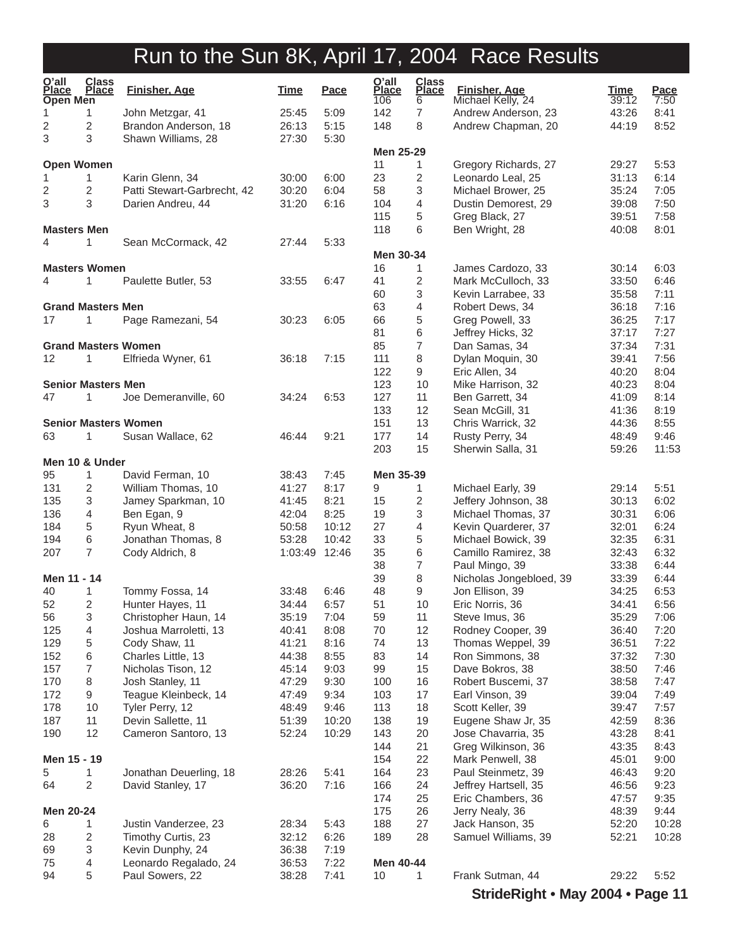| O'all<br><b>Place</b><br>Open Men | <b>Class</b><br><b>Place</b> | <b>Finisher, Age</b>                           | <b>Time</b>            | <u>Pace</u>  | O'all<br>Place<br>106 | <b>Class</b><br><b>Place</b><br>6 | <b>Finisher, Age</b><br>Michael Kelly, 24 | <u>Time</u><br>39:12 | Pace<br>7:50 |
|-----------------------------------|------------------------------|------------------------------------------------|------------------------|--------------|-----------------------|-----------------------------------|-------------------------------------------|----------------------|--------------|
| 1                                 | 1                            | John Metzgar, 41                               | 25:45                  | 5:09         | 142                   | 7                                 | Andrew Anderson, 23                       | 43:26                | 8:41         |
| 2                                 | 2                            | Brandon Anderson, 18                           | 26:13                  | 5:15         | 148                   | 8                                 | Andrew Chapman, 20                        | 44:19                | 8:52         |
| 3                                 | 3                            | Shawn Williams, 28                             | 27:30                  | 5:30         |                       |                                   |                                           |                      |              |
|                                   |                              |                                                |                        |              | Men 25-29             |                                   |                                           |                      |              |
| <b>Open Women</b>                 |                              |                                                | 30:00                  |              | 11<br>23              | $\mathbf{1}$<br>2                 | Gregory Richards, 27                      | 29:27<br>31:13       | 5:53<br>6:14 |
| 1<br>2                            | 1<br>2                       | Karin Glenn, 34<br>Patti Stewart-Garbrecht, 42 | 30:20                  | 6:00<br>6:04 | 58                    | 3                                 | Leonardo Leal, 25<br>Michael Brower, 25   | 35:24                | 7:05         |
| 3                                 | 3                            | Darien Andreu, 44                              | 31:20                  | 6:16         | 104                   | 4                                 | Dustin Demorest, 29                       | 39:08                | 7:50         |
|                                   |                              |                                                |                        |              | 115                   | 5                                 | Greg Black, 27                            | 39:51                | 7:58         |
| <b>Masters Men</b>                |                              |                                                |                        |              | 118                   | 6                                 | Ben Wright, 28                            | 40:08                | 8:01         |
| 4                                 | 1                            | Sean McCormack, 42                             | 27:44                  | 5:33         |                       |                                   |                                           |                      |              |
|                                   |                              |                                                |                        |              | Men 30-34             |                                   |                                           |                      |              |
| <b>Masters Women</b>              |                              |                                                |                        |              | 16                    | 1                                 | James Cardozo, 33                         | 30:14                | 6:03         |
| 4                                 | 1                            | Paulette Butler, 53                            | 33:55                  | 6:47         | 41                    | 2                                 | Mark McCulloch, 33                        | 33:50                | 6:46         |
|                                   |                              |                                                |                        |              | 60                    | 3                                 | Kevin Larrabee, 33                        | 35:58                | 7:11         |
| <b>Grand Masters Men</b>          |                              |                                                |                        |              | 63                    | 4                                 | Robert Dews, 34                           | 36:18                | 7:16         |
| 17                                | 1                            | Page Ramezani, 54                              | 30:23                  | 6:05         | 66                    | 5                                 | Greg Powell, 33                           | 36:25                | 7:17         |
|                                   |                              |                                                |                        |              | 81                    | 6                                 | Jeffrey Hicks, 32                         | 37:17                | 7:27         |
|                                   |                              | <b>Grand Masters Women</b>                     |                        |              | 85                    | $\overline{7}$                    | Dan Samas, 34                             | 37:34                | 7:31         |
| 12                                | 1                            | Elfrieda Wyner, 61                             | 36:18                  | 7:15         | 111<br>122            | 8<br>9                            | Dylan Moquin, 30<br>Eric Allen, 34        | 39:41<br>40:20       | 7:56<br>8:04 |
| <b>Senior Masters Men</b>         |                              |                                                |                        |              | 123                   | 10                                | Mike Harrison, 32                         | 40:23                | 8:04         |
| 47                                | 1                            | Joe Demeranville, 60                           | 34:24                  | 6:53         | 127                   | 11                                | Ben Garrett, 34                           | 41:09                | 8:14         |
|                                   |                              |                                                |                        |              | 133                   | 12                                | Sean McGill, 31                           | 41:36                | 8:19         |
|                                   |                              | <b>Senior Masters Women</b>                    |                        |              | 151                   | 13                                | Chris Warrick, 32                         | 44:36                | 8:55         |
| 63                                | 1                            | Susan Wallace, 62                              | 46:44                  | 9:21         | 177                   | 14                                | Rusty Perry, 34                           | 48:49                | 9:46         |
|                                   |                              |                                                |                        |              | 203                   | 15                                | Sherwin Salla, 31                         | 59:26                | 11:53        |
| Men 10 & Under                    |                              |                                                |                        |              |                       |                                   |                                           |                      |              |
| 95                                | 1                            | David Ferman, 10                               | 38:43                  | 7:45         | Men 35-39             |                                   |                                           |                      |              |
| 131                               | 2                            | William Thomas, 10                             | 41:27                  | 8:17         | 9                     | 1                                 | Michael Early, 39                         | 29:14                | 5:51         |
| 135                               | 3                            | Jamey Sparkman, 10                             | 41:45                  | 8:21         | 15                    | 2                                 | Jeffery Johnson, 38                       | 30:13                | 6:02         |
| 136                               | 4                            | Ben Egan, 9                                    | 42:04                  | 8:25         | 19                    | 3                                 | Michael Thomas, 37                        | 30:31                | 6:06         |
| 184                               | 5                            | Ryun Wheat, 8                                  | 50:58                  | 10:12        | 27                    | 4                                 | Kevin Quarderer, 37                       | 32:01                | 6:24         |
| 194<br>207                        | 6<br>7                       | Jonathan Thomas, 8<br>Cody Aldrich, 8          | 53:28<br>1:03:49 12:46 | 10:42        | 33<br>35              | 5<br>6                            | Michael Bowick, 39<br>Camillo Ramirez, 38 | 32:35<br>32:43       | 6:31<br>6:32 |
|                                   |                              |                                                |                        |              | 38                    | 7                                 | Paul Mingo, 39                            | 33:38                | 6:44         |
| Men 11 - 14                       |                              |                                                |                        |              | 39                    | 8                                 | Nicholas Jongebloed, 39                   | 33:39                | 6:44         |
| 40                                | 1                            | Tommy Fossa, 14                                | 33:48                  | 6:46         | 48                    | 9                                 | Jon Ellison, 39                           | 34:25                | 6:53         |
| 52                                | $\overline{2}$               | Hunter Hayes, 11                               | 34:44                  | 6:57         | 51                    | 10                                | Eric Norris, 36                           | 34:41                | 6:56         |
| 56                                | 3                            | Christopher Haun, 14                           | 35:19                  | 7:04         | 59                    | 11                                | Steve Imus, 36                            | 35:29                | 7:06         |
| 125                               | 4                            | Joshua Marroletti, 13                          | 40:41                  | 8:08         | 70                    | 12                                | Rodney Cooper, 39                         | 36:40                | 7:20         |
| 129                               | 5                            | Cody Shaw, 11                                  | 41:21                  | 8:16         | 74                    | 13                                | Thomas Weppel, 39                         | 36:51                | 7:22         |
| 152                               | 6                            | Charles Little, 13                             | 44:38                  | 8:55         | 83                    | 14                                | Ron Simmons, 38                           | 37:32                | 7:30         |
| 157                               | 7                            | Nicholas Tison, 12                             | 45:14                  | 9:03         | 99                    | 15                                | Dave Bokros, 38                           | 38:50                | 7:46         |
| 170                               | 8                            | Josh Stanley, 11                               | 47:29                  | 9:30         | 100                   | 16                                | Robert Buscemi, 37                        | 38:58                | 7:47         |
| 172                               | 9                            | Teague Kleinbeck, 14                           | 47:49                  | 9:34         | 103                   | 17                                | Earl Vinson, 39                           | 39:04                | 7:49         |
| 178                               | 10                           | Tyler Perry, 12                                | 48:49                  | 9:46         | 113                   | 18                                | Scott Keller, 39                          | 39:47                | 7:57         |
| 187                               | 11<br>12                     | Devin Sallette, 11                             | 51:39                  | 10:20        | 138                   | 19                                | Eugene Shaw Jr, 35                        | 42:59                | 8:36         |
| 190                               |                              | Cameron Santoro, 13                            | 52:24                  | 10:29        | 143<br>144            | 20<br>21                          | Jose Chavarria, 35<br>Greg Wilkinson, 36  | 43:28<br>43:35       | 8:41<br>8:43 |
| Men 15 - 19                       |                              |                                                |                        |              | 154                   | 22                                | Mark Penwell, 38                          | 45:01                | 9:00         |
| 5                                 | 1                            | Jonathan Deuerling, 18                         | 28:26                  | 5:41         | 164                   | 23                                | Paul Steinmetz, 39                        | 46:43                | 9:20         |
| 64                                | 2                            | David Stanley, 17                              | 36:20                  | 7:16         | 166                   | 24                                | Jeffrey Hartsell, 35                      | 46:56                | 9:23         |
|                                   |                              |                                                |                        |              | 174                   | 25                                | Eric Chambers, 36                         | 47:57                | 9:35         |
| Men 20-24                         |                              |                                                |                        |              | 175                   | 26                                | Jerry Nealy, 36                           | 48:39                | 9:44         |
| 6                                 | 1                            | Justin Vanderzee, 23                           | 28:34                  | 5:43         | 188                   | 27                                | Jack Hanson, 35                           | 52:20                | 10:28        |
| 28                                | 2                            | Timothy Curtis, 23                             | 32:12                  | 6:26         | 189                   | 28                                | Samuel Williams, 39                       | 52:21                | 10:28        |
| 69                                | 3                            | Kevin Dunphy, 24                               | 36:38                  | 7:19         |                       |                                   |                                           |                      |              |
| 75                                | 4                            | Leonardo Regalado, 24                          | 36:53                  | 7:22         | Men 40-44             |                                   |                                           |                      |              |
| 94                                | 5                            | Paul Sowers, 22                                | 38:28                  | 7:41         | 10                    | $\mathbf{1}$                      | Frank Sutman, 44                          | 29:22                | 5:52         |

**StrideRight • May 2004 • Page 11**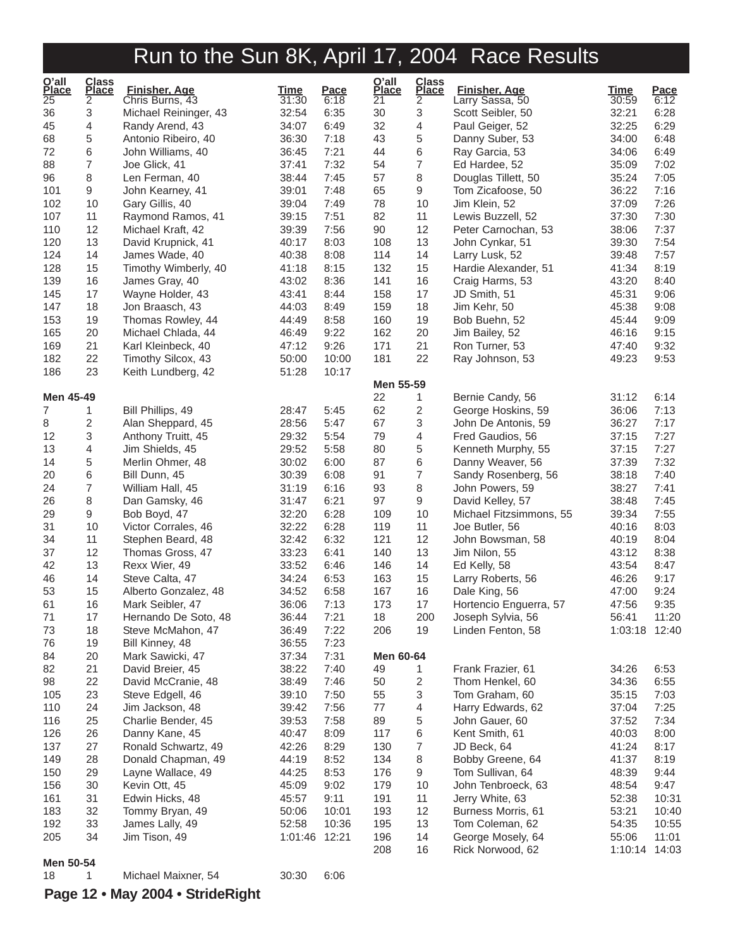| O'all<br>Place  | Class<br>Place | <b>Finisher, Age</b>               | <u>Time</u>    | Pace           | O'all<br>Place  | Class<br>Place | <b>Finisher, Age</b>                  | <b>Time</b>    | Pace           |
|-----------------|----------------|------------------------------------|----------------|----------------|-----------------|----------------|---------------------------------------|----------------|----------------|
| $\overline{25}$ | $\overline{2}$ | Chris Burns, 43                    | 31:30          | 6:18           | $\overline{21}$ | $\overline{2}$ | Larry Sassa, 50                       | 30:59          | 6:12           |
| 36              | 3              | Michael Reininger, 43              | 32:54          | 6:35           | 30              | 3              | Scott Seibler, 50                     | 32:21          | 6:28           |
| 45              | 4              | Randy Arend, 43                    | 34:07          | 6:49           | 32              | 4              | Paul Geiger, 52                       | 32:25          | 6:29           |
| 68              | 5              | Antonio Ribeiro, 40                | 36:30          | 7:18           | 43              | 5              | Danny Suber, 53                       | 34:00          | 6:48           |
| 72              | 6              | John Williams, 40                  | 36:45          | 7:21           | 44              | 6              | Ray Garcia, 53                        | 34:06          | 6:49           |
| 88              | 7              | Joe Glick, 41                      | 37:41          | 7:32           | 54              | $\overline{7}$ | Ed Hardee, 52                         | 35:09          | 7:02           |
| 96              | 8              | Len Ferman, 40                     | 38:44          | 7:45           | 57              | 8              | Douglas Tillett, 50                   | 35:24          | 7:05           |
| 101             | 9              | John Kearney, 41                   | 39:01          | 7:48           | 65              | 9              | Tom Zicafoose, 50                     | 36:22          | 7:16           |
| 102             | 10             | Gary Gillis, 40                    | 39:04          | 7:49           | 78              | 10             | Jim Klein, 52                         | 37:09          | 7:26           |
| 107             | 11             | Raymond Ramos, 41                  | 39:15          | 7:51           | 82              | 11             | Lewis Buzzell, 52                     | 37:30          | 7:30           |
| 110             | 12             | Michael Kraft, 42                  | 39:39          | 7:56           | 90              | 12             | Peter Carnochan, 53                   | 38:06          | 7:37           |
| 120             | 13             | David Krupnick, 41                 | 40:17          | 8:03           | 108             | 13             | John Cynkar, 51                       | 39:30          | 7:54           |
| 124             | 14             | James Wade, 40                     | 40:38          | 8:08           | 114             | 14             | Larry Lusk, 52                        | 39:48          | 7:57           |
| 128             | 15             | Timothy Wimberly, 40               | 41:18          | 8:15           | 132             | 15             | Hardie Alexander, 51                  | 41:34          | 8:19           |
| 139             | 16             | James Gray, 40                     | 43:02          | 8:36           | 141             | 16             | Craig Harms, 53                       | 43:20          | 8:40           |
| 145             | 17             | Wayne Holder, 43                   | 43:41          | 8:44           | 158             | 17             | JD Smith, 51                          | 45:31          | 9:06           |
| 147             | 18             | Jon Braasch, 43                    | 44:03          | 8:49           | 159             | 18             | Jim Kehr, 50                          | 45:38          | 9:08           |
| 153             | 19             | Thomas Rowley, 44                  | 44:49          | 8:58           | 160             | 19             | Bob Buehn, 52                         | 45:44          | 9:09           |
| 165<br>169      | 20<br>21       | Michael Chlada, 44                 | 46:49<br>47:12 | 9:22<br>9:26   | 162<br>171      | 20<br>21       | Jim Bailey, 52                        | 46:16          | 9:15<br>9:32   |
| 182             | 22             | Karl Kleinbeck, 40                 | 50:00          |                | 181             | 22             | Ron Turner, 53                        | 47:40          | 9:53           |
| 186             | 23             | Timothy Silcox, 43                 | 51:28          | 10:00<br>10:17 |                 |                | Ray Johnson, 53                       | 49:23          |                |
|                 |                | Keith Lundberg, 42                 |                |                | Men 55-59       |                |                                       |                |                |
| Men 45-49       |                |                                    |                |                | 22              | 1              | Bernie Candy, 56                      | 31:12          | 6:14           |
| $\overline{7}$  | 1              | Bill Phillips, 49                  | 28:47          | 5:45           | 62              | $\overline{c}$ | George Hoskins, 59                    | 36:06          | 7:13           |
| 8               | $\overline{c}$ | Alan Sheppard, 45                  | 28:56          | 5:47           | 67              | 3              | John De Antonis, 59                   | 36:27          | 7:17           |
| 12              | 3              | Anthony Truitt, 45                 | 29:32          | 5:54           | 79              | 4              | Fred Gaudios, 56                      | 37:15          | 7:27           |
| 13              | 4              | Jim Shields, 45                    | 29:52          | 5:58           | 80              | 5              | Kenneth Murphy, 55                    | 37:15          | 7:27           |
| 14              | 5              | Merlin Ohmer, 48                   | 30:02          | 6:00           | 87              | 6              | Danny Weaver, 56                      | 37:39          | 7:32           |
| 20              | 6              | Bill Dunn, 45                      | 30:39          | 6:08           | 91              | $\overline{7}$ | Sandy Rosenberg, 56                   | 38:18          | 7:40           |
| 24              | 7              | William Hall, 45                   | 31:19          | 6:16           | 93              | 8              | John Powers, 59                       | 38:27          | 7:41           |
| 26              | 8              | Dan Gamsky, 46                     | 31:47          | 6:21           | 97              | 9              | David Kelley, 57                      | 38:48          | 7:45           |
| 29              | 9              | Bob Boyd, 47                       | 32:20          | 6:28           | 109             | 10             | Michael Fitzsimmons, 55               | 39:34          | 7:55           |
| 31              | 10             | Victor Corrales, 46                | 32:22          | 6:28           | 119             | 11             | Joe Butler, 56                        | 40:16          | 8:03           |
| 34              | 11             | Stephen Beard, 48                  | 32:42          | 6:32           | 121             | 12             | John Bowsman, 58                      | 40:19          | 8:04           |
| 37              | 12             | Thomas Gross, 47                   | 33:23          | 6:41           | 140             | 13             | Jim Nilon, 55                         | 43:12          | 8:38           |
| 42              | 13             | Rexx Wier, 49                      | 33:52          | 6:46           | 146             | 14             | Ed Kelly, 58                          | 43:54          | 8:47           |
| 46              | 14             | Steve Calta, 47                    | 34:24          | 6:53           | 163             | 15             | Larry Roberts, 56                     | 46:26          | 9:17           |
| 53              | 15             | Alberto Gonzalez, 48               | 34:52          | 6:58           | 167             | 16             | Dale King, 56                         | 47:00          | 9:24           |
| 61              | 16             | Mark Seibler, 47                   | 36:06          | 7:13           | 173             | 17             | Hortencio Enguerra, 57                | 47:56          | 9:35           |
| 71              | 17             | Hernando De Soto, 48               | 36:44          | 7:21           | 18              | 200            | Joseph Sylvia, 56                     | 56:41          | 11:20          |
| 73              | 18             | Steve McMahon, 47                  | 36:49          | 7:22           | 206             | 19             | Linden Fenton, 58                     | 1:03:18 12:40  |                |
| 76              | 19             | Bill Kinney, 48                    | 36:55          | 7:23           |                 |                |                                       |                |                |
| 84              | 20             | Mark Sawicki, 47                   | 37:34          | 7:31           | Men 60-64       |                |                                       |                |                |
| 82              | 21             | David Breier, 45                   | 38:22          | 7:40           | 49              | 1.             | Frank Frazier, 61                     | 34:26          | 6:53           |
| 98              | 22             | David McCranie, 48                 | 38:49          | 7:46           | 50              | 2              | Thom Henkel, 60                       | 34:36          | 6:55           |
| 105             | 23             | Steve Edgell, 46                   | 39:10          | 7:50           | 55              | 3              | Tom Graham, 60                        | 35:15          | 7:03           |
| 110             | 24             | Jim Jackson, 48                    | 39:42          | 7:56           | 77              | 4              | Harry Edwards, 62                     | 37:04          | 7:25           |
| 116             | 25             | Charlie Bender, 45                 | 39:53          | 7:58           | 89              | 5              | John Gauer, 60                        | 37:52          | 7:34           |
| 126             | 26             | Danny Kane, 45                     | 40:47          | 8:09           | 117             | 6              | Kent Smith, 61                        | 40:03          | 8:00           |
| 137             | 27             | Ronald Schwartz, 49                | 42:26          | 8:29           | 130             | 7              | JD Beck, 64                           | 41:24          | 8:17           |
| 149             | 28             | Donald Chapman, 49                 | 44:19          | 8:52           | 134             | 8              | Bobby Greene, 64                      | 41:37          | 8:19           |
| 150             | 29             | Layne Wallace, 49                  | 44:25          | 8:53           | 176             | 9              | Tom Sullivan, 64                      | 48:39          | 9:44           |
| 156             | 30             | Kevin Ott, 45                      | 45:09          | 9:02           | 179             | 10             | John Tenbroeck, 63                    | 48:54          | 9:47           |
| 161             | 31<br>32       | Edwin Hicks, 48                    | 45:57          | 9:11<br>10:01  | 191             | 11<br>12       | Jerry White, 63                       | 52:38          | 10:31          |
| 183<br>192      | 33             | Tommy Bryan, 49<br>James Lally, 49 | 50:06<br>52:58 | 10:36          | 193<br>195      | 13             | Burness Morris, 61<br>Tom Coleman, 62 | 53:21<br>54:35 | 10:40<br>10:55 |
| 205             | 34             | Jim Tison, 49                      | 1:01:46 12:21  |                | 196             | 14             | George Mosely, 64                     | 55:06          | 11:01          |
|                 |                |                                    |                |                | 208             | 16             | Rick Norwood, 62                      | 1:10:14        | 14:03          |
| Men 50-54       |                |                                    |                |                |                 |                |                                       |                |                |
| 18              | 1              | Michael Maixner, 54                | 30:30          | 6:06           |                 |                |                                       |                |                |
|                 |                |                                    |                |                |                 |                |                                       |                |                |

### **Page 12 • May 2004 • StrideRight**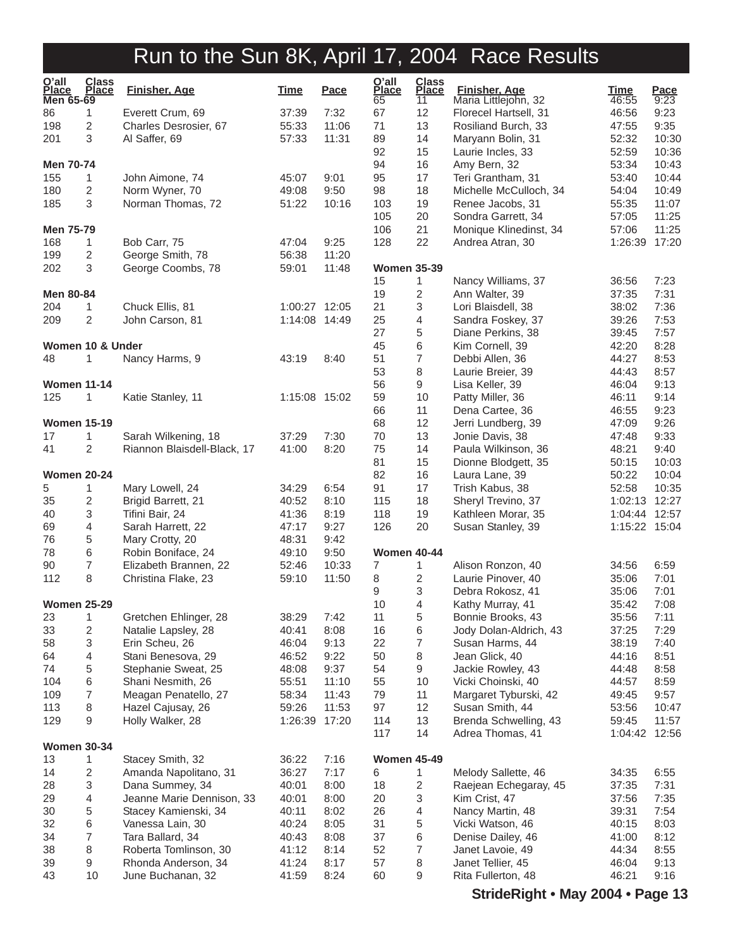| O'all<br>Place<br>Men 65-69 | <b>Class</b><br><b>Place</b> | <b>Finisher, Age</b>        | <b>Time</b>   | <b>Pace</b> | O'all<br>Place<br>65 | <b>Class</b><br><b>Place</b><br>11 | <b>Finisher, Age</b><br>Maria Littlejohn, 32 | <b>Time</b><br>46:55 | <b>Pace</b><br>9:23 |
|-----------------------------|------------------------------|-----------------------------|---------------|-------------|----------------------|------------------------------------|----------------------------------------------|----------------------|---------------------|
| 86                          | 1                            | Everett Crum, 69            | 37:39         | 7:32        | 67                   | 12                                 | Florecel Hartsell, 31                        | 46:56                | 9:23                |
| 198                         | 2                            | Charles Desrosier, 67       | 55:33         | 11:06       | 71                   | 13                                 | Rosiliand Burch, 33                          | 47:55                | 9:35                |
| 201                         | 3                            | Al Saffer, 69               | 57:33         | 11:31       | 89                   | 14                                 | Maryann Bolin, 31                            | 52:32                | 10:30               |
|                             |                              |                             |               |             | 92                   | 15                                 | Laurie Incles, 33                            | 52:59                | 10:36               |
| Men 70-74                   |                              |                             |               |             | 94                   | 16                                 | Amy Bern, 32                                 | 53:34                | 10:43               |
| 155                         | 1                            | John Aimone, 74             | 45:07         | 9:01        | 95                   | 17                                 | Teri Grantham, 31                            | 53:40                | 10:44               |
| 180                         | 2                            | Norm Wyner, 70              | 49:08         | 9:50        | 98                   | 18                                 | Michelle McCulloch, 34                       | 54:04                | 10:49               |
| 185                         | 3                            | Norman Thomas, 72           | 51:22         | 10:16       | 103                  | 19                                 | Renee Jacobs, 31                             | 55:35                | 11:07               |
|                             |                              |                             |               |             | 105                  | 20                                 |                                              |                      | 11:25               |
|                             |                              |                             |               |             |                      |                                    | Sondra Garrett, 34                           | 57:05                |                     |
| Men 75-79                   |                              |                             |               |             | 106                  | 21                                 | Monique Klinedinst, 34                       | 57:06                | 11:25               |
| 168                         | 1                            | Bob Carr, 75                | 47:04         | 9:25        | 128                  | 22                                 | Andrea Atran, 30                             | 1:26:39 17:20        |                     |
| 199                         | 2                            | George Smith, 78            | 56:38         | 11:20       |                      |                                    |                                              |                      |                     |
| 202                         | 3                            | George Coombs, 78           | 59:01         | 11:48       | <b>Women 35-39</b>   |                                    |                                              |                      |                     |
|                             |                              |                             |               |             | 15                   | 1                                  | Nancy Williams, 37                           | 36:56                | 7:23                |
| Men 80-84                   |                              |                             |               |             | 19                   | 2                                  | Ann Walter, 39                               | 37:35                | 7:31                |
| 204                         | 1                            | Chuck Ellis, 81             | 1:00:27 12:05 |             | 21                   | 3                                  | Lori Blaisdell, 38                           | 38:02                | 7:36                |
| 209                         | 2                            | John Carson, 81             | 1:14:08 14:49 |             | 25                   | 4                                  | Sandra Foskey, 37                            | 39:26                | 7:53                |
|                             |                              |                             |               |             | 27                   | 5                                  | Diane Perkins, 38                            | 39:45                | 7:57                |
| Women 10 & Under            |                              |                             |               |             | 45                   | 6                                  | Kim Cornell, 39                              | 42:20                | 8:28                |
| 48                          | 1                            | Nancy Harms, 9              | 43:19         | 8:40        | 51                   | 7                                  | Debbi Allen, 36                              | 44:27                | 8:53                |
|                             |                              |                             |               |             | 53                   | 8                                  | Laurie Breier, 39                            | 44:43                | 8:57                |
| <b>Women 11-14</b>          |                              |                             |               |             | 56                   | 9                                  | Lisa Keller, 39                              | 46:04                | 9:13                |
| 125                         | 1                            | Katie Stanley, 11           | 1:15:08 15:02 |             | 59                   | 10                                 | Patty Miller, 36                             | 46:11                | 9:14                |
|                             |                              |                             |               |             | 66                   | 11                                 | Dena Cartee, 36                              | 46:55                | 9:23                |
| <b>Women 15-19</b>          |                              |                             |               |             | 68                   | 12                                 | Jerri Lundberg, 39                           | 47:09                | 9:26                |
| 17                          | 1                            | Sarah Wilkening, 18         | 37:29         | 7:30        | 70                   | 13                                 | Jonie Davis, 38                              | 47:48                | 9:33                |
| 41                          | 2                            | Riannon Blaisdell-Black, 17 | 41:00         | 8:20        | 75                   | 14                                 | Paula Wilkinson, 36                          | 48:21                | 9:40                |
|                             |                              |                             |               |             | 81                   | 15                                 | Dionne Blodgett, 35                          | 50:15                | 10:03               |
|                             |                              |                             |               |             | 82                   |                                    |                                              |                      |                     |
| <b>Women 20-24</b>          |                              |                             |               |             |                      | 16                                 | Laura Lane, 39                               | 50:22                | 10:04               |
| 5                           | 1                            | Mary Lowell, 24             | 34:29         | 6:54        | 91                   | 17                                 | Trish Kabus, 38                              | 52:58                | 10:35               |
| 35                          | $\overline{\mathbf{c}}$      | Brigid Barrett, 21          | 40:52         | 8:10        | 115                  | 18                                 | Sheryl Trevino, 37                           | 1:02:13 12:27        |                     |
| 40                          | 3                            | Tifini Bair, 24             | 41:36         | 8:19        | 118                  | 19                                 | Kathleen Morar, 35                           | 1:04:44 12:57        |                     |
| 69                          | 4                            | Sarah Harrett, 22           | 47:17         | 9:27        | 126                  | 20                                 | Susan Stanley, 39                            | 1:15:22 15:04        |                     |
| 76                          | $\mathbf 5$                  | Mary Crotty, 20             | 48:31         | 9:42        |                      |                                    |                                              |                      |                     |
| 78                          | 6                            | Robin Boniface, 24          | 49:10         | 9:50        | <b>Women 40-44</b>   |                                    |                                              |                      |                     |
| 90                          | 7                            | Elizabeth Brannen, 22       | 52:46         | 10:33       | 7                    | 1                                  | Alison Ronzon, 40                            | 34:56                | 6:59                |
| 112                         | 8                            | Christina Flake, 23         | 59:10         | 11:50       | 8                    | 2                                  | Laurie Pinover, 40                           | 35:06                | 7:01                |
|                             |                              |                             |               |             | 9                    | 3                                  | Debra Rokosz, 41                             | 35:06                | 7:01                |
| <b>Women 25-29</b>          |                              |                             |               |             | 10                   | 4                                  | Kathy Murray, 41                             | 35:42                | 7:08                |
| 23                          | 1                            | Gretchen Ehlinger, 28       | 38:29         | 7:42        | 11                   | 5                                  | Bonnie Brooks, 43                            | 35:56                | 7:11                |
| 33                          | 2                            | Natalie Lapsley, 28         | 40:41         | 8:08        | 16                   | 6                                  | Jody Dolan-Aldrich, 43                       | 37:25                | 7:29                |
| 58                          | 3                            | Erin Scheu, 26              | 46:04         | 9:13        | 22                   | 7                                  | Susan Harms, 44                              | 38:19                | 7:40                |
| 64                          | 4                            | Stani Benesova, 29          | 46:52         | 9:22        | 50                   | 8                                  | Jean Glick, 40                               | 44:16                | 8:51                |
| 74                          | 5                            | Stephanie Sweat, 25         | 48:08         | 9:37        | 54                   | 9                                  | Jackie Rowley, 43                            | 44:48                | 8:58                |
| 104                         | 6                            | Shani Nesmith, 26           | 55:51         | 11:10       | 55                   | 10                                 | Vicki Choinski, 40                           | 44:57                | 8:59                |
| 109                         | 7                            | Meagan Penatello, 27        | 58:34         | 11:43       | 79                   | 11                                 | Margaret Tyburski, 42                        | 49:45                | 9:57                |
| 113                         | 8                            | Hazel Cajusay, 26           | 59:26         | 11:53       | 97                   | 12                                 | Susan Smith, 44                              | 53:56                | 10:47               |
| 129                         | 9                            | Holly Walker, 28            | 1:26:39       | 17:20       | 114                  | 13                                 | Brenda Schwelling, 43                        | 59:45                | 11:57               |
|                             |                              |                             |               |             | 117                  | 14                                 | Adrea Thomas, 41                             | 1:04:42 12:56        |                     |
|                             |                              |                             |               |             |                      |                                    |                                              |                      |                     |
| <b>Women 30-34</b>          |                              |                             |               |             |                      |                                    |                                              |                      |                     |
| 13                          | 1                            | Stacey Smith, 32            | 36:22         | 7:16        | <b>Women 45-49</b>   |                                    |                                              |                      |                     |
| 14                          | 2                            | Amanda Napolitano, 31       | 36:27         | 7:17        | 6                    | 1                                  | Melody Sallette, 46                          | 34:35                | 6:55                |
| 28                          | 3                            | Dana Summey, 34             | 40:01         | 8:00        | 18                   | 2                                  | Raejean Echegaray, 45                        | 37:35                | 7:31                |
| 29                          | 4                            | Jeanne Marie Dennison, 33   | 40:01         | 8:00        | 20                   | 3                                  | Kim Crist, 47                                | 37:56                | 7:35                |
| 30                          | 5                            | Stacey Kamienski, 34        | 40:11         | 8:02        | 26                   | 4                                  | Nancy Martin, 48                             | 39:31                | 7:54                |
| 32                          | 6                            | Vanessa Lain, 30            | 40:24         | 8:05        | 31                   | 5                                  | Vicki Watson, 46                             | 40:15                | 8:03                |
| 34                          | 7                            | Tara Ballard, 34            | 40:43         | 8:08        | 37                   | 6                                  | Denise Dailey, 46                            | 41:00                | 8:12                |
| 38                          | 8                            | Roberta Tomlinson, 30       | 41:12         | 8:14        | 52                   | 7                                  | Janet Lavoie, 49                             | 44:34                | 8:55                |
| 39                          | 9                            | Rhonda Anderson, 34         | 41:24         | 8:17        | 57                   | 8                                  | Janet Tellier, 45                            | 46:04                | 9:13                |
| 43                          | 10                           | June Buchanan, 32           | 41:59         | 8:24        | 60                   | 9                                  | Rita Fullerton, 48                           | 46:21                | 9:16                |
|                             |                              |                             |               |             |                      |                                    |                                              |                      |                     |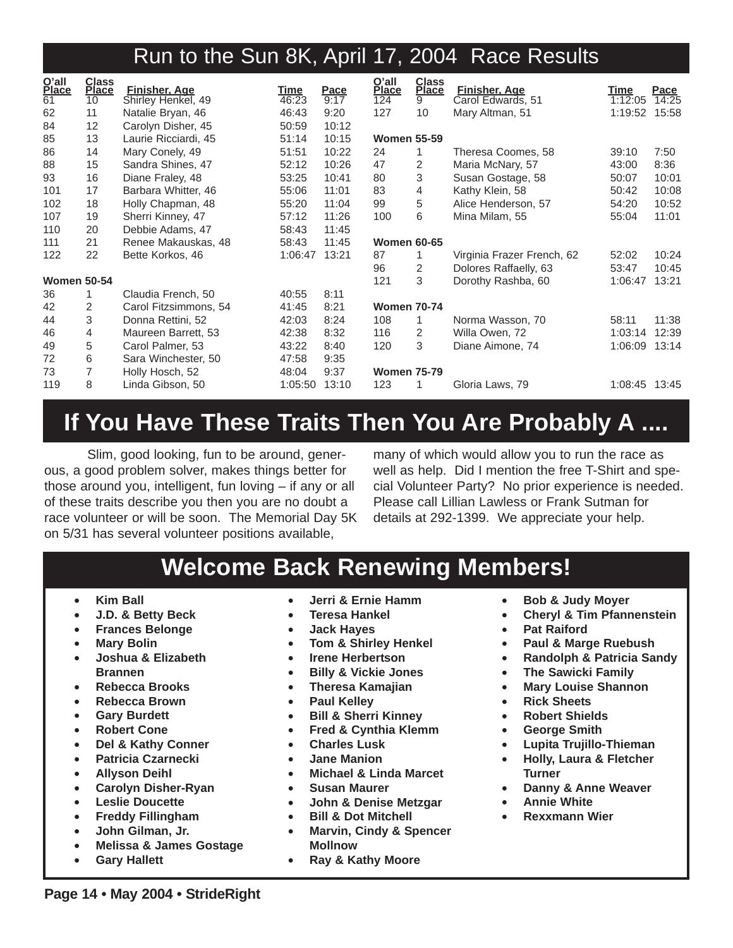| O'all<br>Place     | <b>Class</b><br><b>Place</b> | <b>Finisher, Age</b>  | Time    | Pace  | O'all<br>Place     | <b>Class</b><br><b>Place</b> | Finisher, Age              | Time    | Pace  |
|--------------------|------------------------------|-----------------------|---------|-------|--------------------|------------------------------|----------------------------|---------|-------|
| $\overline{61}$    | 10                           | Shirley Henkel, 49    | 46:23   | 9:17  | 124                | 9                            | Carol Edwards, 51          | 1:12:05 | 14:25 |
| 62                 | 11                           | Natalie Bryan, 46     | 46:43   | 9:20  | 127                | 10                           | Mary Altman, 51            | 1:19:52 | 15:58 |
| 84                 | 12                           | Carolyn Disher, 45    | 50:59   | 10:12 |                    |                              |                            |         |       |
| 85                 | 13                           | Laurie Ricciardi, 45  | 51:14   | 10:15 | <b>Women 55-59</b> |                              |                            |         |       |
| 86                 | 14                           | Mary Conely, 49       | 51:51   | 10:22 | 24                 | 1                            | Theresa Coomes, 58         | 39:10   | 7:50  |
| 88                 | 15                           | Sandra Shines, 47     | 52:12   | 10:26 | 47                 | 2                            | Maria McNary, 57           | 43:00   | 8:36  |
| 93                 | 16                           | Diane Fraley, 48      | 53:25   | 10:41 | 80                 | 3                            | Susan Gostage, 58          | 50:07   | 10:01 |
| 101                | 17                           | Barbara Whitter, 46   | 55:06   | 11:01 | 83                 | 4                            | Kathy Klein, 58            | 50:42   | 10:08 |
| 102                | 18                           | Holly Chapman, 48     | 55:20   | 11:04 | 99                 | 5                            | Alice Henderson, 57        | 54:20   | 10:52 |
| 107                | 19                           | Sherri Kinney, 47     | 57:12   | 11:26 | 100                | 6                            | Mina Milam, 55             | 55:04   | 11:01 |
| 110                | 20                           | Debbie Adams, 47      | 58:43   | 11:45 |                    |                              |                            |         |       |
| 111                | 21                           | Renee Makauskas, 48   | 58:43   | 11:45 | <b>Women 60-65</b> |                              |                            |         |       |
| 122                | 22                           | Bette Korkos, 46      | 1:06:47 | 13:21 | 87                 | 1.                           | Virginia Frazer French, 62 | 52:02   | 10:24 |
|                    |                              |                       |         |       | 96                 | 2                            | Dolores Raffaelly, 63      | 53:47   | 10:45 |
| <b>Women 50-54</b> |                              |                       |         |       | 121                | 3                            | Dorothy Rashba, 60         | 1:06:47 | 13:21 |
| 36                 | 1                            | Claudia French, 50    | 40:55   | 8:11  |                    |                              |                            |         |       |
| 42                 | 2                            | Carol Fitzsimmons, 54 | 41:45   | 8:21  | <b>Women 70-74</b> |                              |                            |         |       |
| 44                 | 3                            | Donna Rettini, 52     | 42:03   | 8:24  | 108                | 1                            | Norma Wasson, 70           | 58:11   | 11:38 |
| 46                 | 4                            | Maureen Barrett, 53   | 42:38   | 8:32  | 116                | 2                            | Willa Owen, 72             | 1:03:14 | 12:39 |
| 49                 | 5                            | Carol Palmer, 53      | 43:22   | 8:40  | 120                | 3                            | Diane Aimone, 74           | 1:06:09 | 13:14 |
| 72                 | 6                            | Sara Winchester, 50   | 47:58   | 9:35  |                    |                              |                            |         |       |
| 73                 | $\overline{7}$               | Holly Hosch, 52       | 48:04   | 9:37  | <b>Women 75-79</b> |                              |                            |         |       |
| 119                | 8                            | Linda Gibson, 50      | 1:05:50 | 13:10 | 123                |                              | Gloria Laws, 79            | 1:08:45 | 13:45 |

## **If You Have These Traits Then You Are Probably A ....**

Slim, good looking, fun to be around, generous, a good problem solver, makes things better for those around you, intelligent, fun loving – if any or all of these traits describe you then you are no doubt a race volunteer or will be soon. The Memorial Day 5K on 5/31 has several volunteer positions available,

many of which would allow you to run the race as well as help. Did I mention the free T-Shirt and special Volunteer Party? No prior experience is needed. Please call Lillian Lawless or Frank Sutman for details at 292-1399. We appreciate your help.

## **Welcome Back Renewing Members!**

- **Kim Ball**
- **J.D. & Betty Beck**
- **Frances Belonge**
- **Mary Bolin**
- **Joshua & Elizabeth Brannen**
- **Rebecca Brooks**
- **Rebecca Brown**
- **Gary Burdett**
- **Robert Cone**
- **Del & Kathy Conner**
- **Patricia Czarnecki**
- **Allyson Deihl**
- **Carolyn Disher-Ryan**
- **Leslie Doucette**
- **Freddy Fillingham**
- **John Gilman, Jr.**
- **Melissa & James Gostage**
- **Gary Hallett**
- **Jerri & Ernie Hamm**
- **Teresa Hankel**
- **Jack Hayes**
- **Tom & Shirley Henkel**
- **Irene Herbertson**
- **Billy & Vickie Jones**
- **Theresa Kamajian**
- **Paul Kelley**
- **Bill & Sherri Kinney**
- **Fred & Cynthia Klemm**
- **Charles Lusk**
- **Jane Manion**
- **Michael & Linda Marcet**
- **Susan Maurer**
- **John & Denise Metzgar**
- **Bill & Dot Mitchell**
- **Marvin, Cindy & Spencer Mollnow**
- **Ray & Kathy Moore**
- **Bob & Judy Moyer**
- **Cheryl & Tim Pfannenstein**
- **Pat Raiford**
- **Paul & Marge Ruebush**
- **Randolph & Patricia Sandy**
- **The Sawicki Family**
- **Mary Louise Shannon**
- **Rick Sheets**
- **Robert Shields**
- **George Smith**
- **Lupita Trujillo-Thieman**
- **Holly, Laura & Fletcher Turner**
- **Danny & Anne Weaver**
- **Annie White**
- **Rexxmann Wier**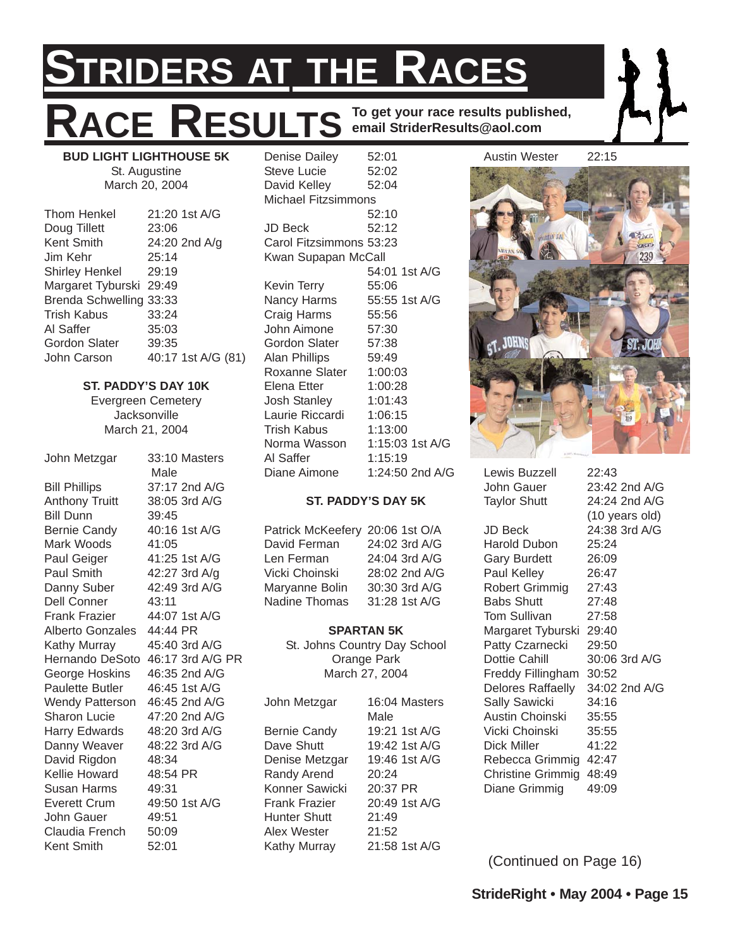## **STRIDERS AT THE RACES**  $R$ **ACE RESULTS To get your race results published, email StriderResults@aol.com** Denise Dailey 52:01

**BUD LIGHT LIGHTHOUSE 5K** St. Augustine March 20, 2004

| <b>Thom Henkel</b>      | 21:20 1st A/G      |
|-------------------------|--------------------|
| Doug Tillett            | 23:06              |
| Kent Smith              | 24:20 2nd A/g      |
| Jim Kehr                | 25:14              |
| <b>Shirley Henkel</b>   | 29:19              |
| Margaret Tyburski 29:49 |                    |
| Brenda Schwelling 33:33 |                    |
| Trish Kabus             | 33:24              |
| Al Saffer               | 35:03              |
| <b>Gordon Slater</b>    | 39:35              |
| John Carson             | 40:17 1st A/G (81) |
|                         |                    |

### **ST. PADDY'S DAY 10K**

Evergreen Cemetery **Jacksonville** March 21, 2004

John Metzgar 33:10 Masters Male Bill Phillips 37:17 2nd A/G Anthony Truitt 38:05 3rd A/G Bill Dunn 39:45 Bernie Candy 40:16 1st A/G Mark Woods 41:05 Paul Geiger 41:25 1st A/G Paul Smith 42:27 3rd A/g Danny Suber 42:49 3rd A/G Dell Conner 43:11 Frank Frazier 44:07 1st A/G Alberto Gonzales 44:44 PR Kathy Murray 45:40 3rd A/G Hernando DeSoto 46:17 3rd A/G PR George Hoskins 46:35 2nd A/G Paulette Butler 46:45 1st A/G Wendy Patterson 46:45 2nd A/G Sharon Lucie 47:20 2nd A/G Harry Edwards 48:20 3rd A/G Danny Weaver 48:22 3rd A/G David Rigdon 48:34 Kellie Howard 48:54 PR Susan Harms 49:31 Everett Crum 49:50 1st A/G John Gauer 49:51 Claudia French 50:09 Kent Smith 52:01

Steve Lucie 52:02 David Kelley 52:04 Michael Fitzsimmons 52:10 JD Beck 52:12 Carol Fitzsimmons 53:23 Kwan Supapan McCall 54:01 1st A/G Kevin Terry 55:06 Nancy Harms 55:55 1st A/G Craig Harms 55:56 John Aimone 57:30 Gordon Slater 57:38 Alan Phillips 59:49 Roxanne Slater 1:00:03 Elena Etter 1:00:28 Josh Stanley 1:01:43 Laurie Riccardi 1:06:15 Trish Kabus 1:13:00 Norma Wasson 1:15:03 1st A/G Al Saffer 1:15:19 Diane Aimone 1:24:50 2nd A/G

#### **ST. PADDY'S DAY 5K**

| Patrick McKeefery 20:06 1st O/A |               |
|---------------------------------|---------------|
| David Ferman                    | 24:02 3rd A/G |
| Len Ferman                      | 24:04 3rd A/G |
| Vicki Choinski                  | 28:02 2nd A/G |
| Maryanne Bolin                  | 30:30 3rd A/G |
| Nadine Thomas                   | 31:28 1st A/G |

#### **SPARTAN 5K**

St. Johns Country Day School Orange Park March 27, 2004

| John Metzgar         | 16:04 Masters |
|----------------------|---------------|
|                      | Male          |
| <b>Bernie Candy</b>  | 19:21 1st A/G |
| Dave Shutt           | 19:42 1st A/G |
| Denise Metzgar       | 19:46 1st A/G |
| Randy Arend          | 20:24         |
| Konner Sawicki       | 20:37 PR      |
| <b>Frank Frazier</b> | 20:49 1st A/G |
| <b>Hunter Shutt</b>  | 21:49         |
| Alex Wester          | 21:52         |
| Kathy Murray         | 21:58 1st A/G |

Austin Wester 22:15



Lewis Buzzell 22:43 John Gauer 23:42 2nd A/G Taylor Shutt 24:24 2nd A/G (10 years old) JD Beck 24:38 3rd A/G Harold Dubon 25:24 Gary Burdett 26:09 Paul Kelley 26:47 Robert Grimmig 27:43 Babs Shutt 27:48 Tom Sullivan 27:58 Margaret Tyburski 29:40 Patty Czarnecki 29:50 Dottie Cahill 30:06 3rd A/G Freddy Fillingham 30:52 Delores Raffaelly 34:02 2nd A/G Sally Sawicki 34:16 Austin Choinski 35:55 Vicki Choinski 35:55 Dick Miller 41:22 Rebecca Grimmig 42:47 Christine Grimmig 48:49 Diane Grimmig 49:09

(Continued on Page 16)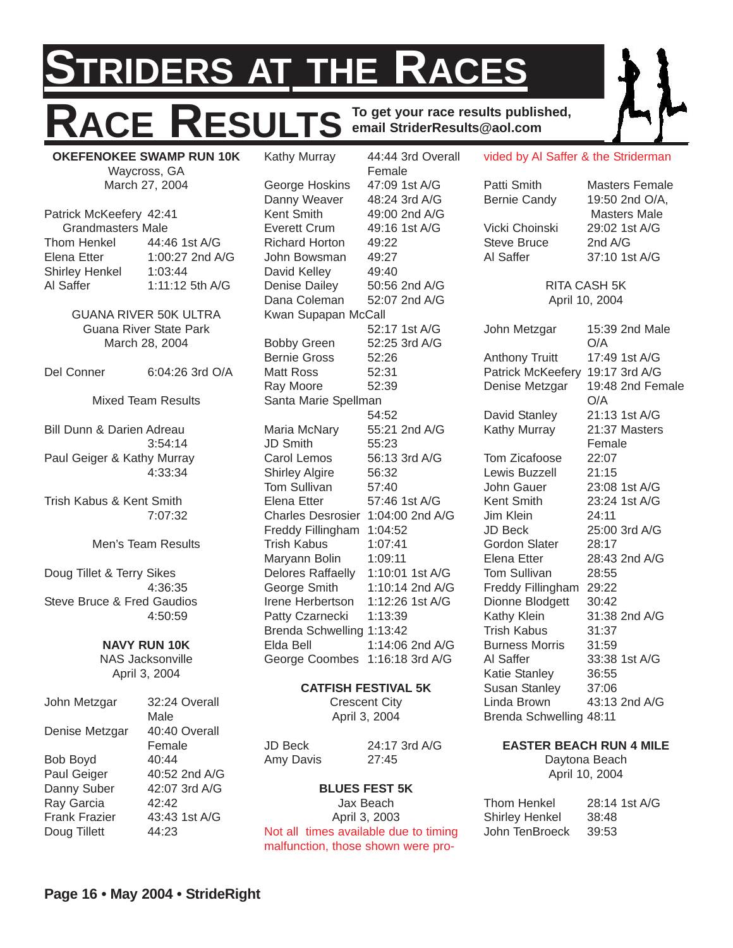## **STRIDERS AT THE RACES** RESULTS **To get your race results published, email StriderResults@aol.com** vided by Al Saffer & the Striderman

**OKEFENOKEE SWAMP RUN 10K** Waycross, GA March 27, 2004

Patrick McKeefery 42:41 Grandmasters Male Thom Henkel 44:46 1st A/G Elena Etter 1:00:27 2nd A/G Shirley Henkel 1:03:44 Al Saffer 1:11:12 5th A/G

> GUANA RIVER 50K ULTRA Guana River State Park March 28, 2004

Del Conner 6:04:26 3rd O/A

Mixed Team Results

Bill Dunn & Darien Adreau 3:54:14 Paul Geiger & Kathy Murray 4:33:34

Trish Kabus & Kent Smith 7:07:32

Men's Team Results

Doug Tillet & Terry Sikes 4:36:35 Steve Bruce & Fred Gaudios 4:50:59

#### **NAVY RUN 10K** NAS Jacksonville

April 3, 2004

| John Metzgar         | 32:24 Overall |
|----------------------|---------------|
|                      | Male          |
| Denise Metzgar       | 40:40 Overall |
|                      | Female        |
| Bob Boyd             | 40:44         |
| Paul Geiger          | 40:52 2nd A/G |
| Danny Suber          | 42:07 3rd A/G |
| Ray Garcia           | 42.42         |
| <b>Frank Frazier</b> | 43:43 1st A/G |
| Doug Tillett         | 44:23         |
|                      |               |

Kathy Murray 44:44 3rd Overall Female George Hoskins 47:09 1st A/G Danny Weaver 48:24 3rd A/G Kent Smith 49:00 2nd A/G Everett Crum 49:16 1st A/G Richard Horton 49:22 John Bowsman 49:27 David Kelley 49:40 Denise Dailey 50:56 2nd A/G Dana Coleman 52:07 2nd A/G Kwan Supapan McCall 52:17 1st A/G Bobby Green 52:25 3rd A/G Bernie Gross 52:26 Matt Ross 52:31 Ray Moore 52:39 Santa Marie Spellman 54:52 Maria McNary 55:21 2nd A/G JD Smith 55:23 Carol Lemos 56:13 3rd A/G Shirley Algire 56:32 Tom Sullivan 57:40 Elena Etter 57:46 1st A/G Charles Desrosier 1:04:00 2nd A/G Freddy Fillingham 1:04:52 Trish Kabus 1:07:41 Maryann Bolin 1:09:11 Delores Raffaelly 1:10:01 1st A/G George Smith 1:10:14 2nd A/G Irene Herbertson 1:12:26 1st A/G Patty Czarnecki 1:13:39 Brenda Schwelling 1:13:42 Elda Bell 1:14:06 2nd A/G George Coombes 1:16:18 3rd A/G

### **CATFISH FESTIVAL 5K**

Crescent City April 3, 2004

| JD Beck   | $24:17$ 3rd A/G |
|-----------|-----------------|
| Amy Davis | 27:45           |

### **BLUES FEST 5K**

Jax Beach April 3, 2003 Not all times available due to timing malfunction, those shown were proPatti Smith Masters Female Bernie Candy 19:50 2nd O/A, Vicki Choinski 29:02 1st A/G Steve Bruce 2nd A/G

Masters Male Al Saffer 37:10 1st A/G

> RITA CASH 5K April 10, 2004

John Metzgar 15:39 2nd Male O/A Anthony Truitt 17:49 1st A/G Patrick McKeefery 19:17 3rd A/G Denise Metzgar 19:48 2nd Female O/A David Stanley 21:13 1st A/G Kathy Murray 21:37 Masters Female Tom Zicafoose 22:07 Lewis Buzzell 21:15 John Gauer 23:08 1st A/G Kent Smith 23:24 1st A/G Jim Klein 24:11 JD Beck 25:00 3rd A/G Gordon Slater 28:17 Elena Etter 28:43 2nd A/G Tom Sullivan 28:55 Freddy Fillingham 29:22 Dionne Blodgett 30:42 Kathy Klein 31:38 2nd A/G Trish Kabus 31:37 Burness Morris 31:59 Al Saffer 33:38 1st A/G Katie Stanley 36:55 Susan Stanley 37:06 Linda Brown 43:13 2nd A/G Brenda Schwelling 48:11

#### **EASTER BEACH RUN 4 MILE**

Daytona Beach April 10, 2004

| 28:14 1st A/G |
|---------------|
| 38:48         |
| 39:53         |
|               |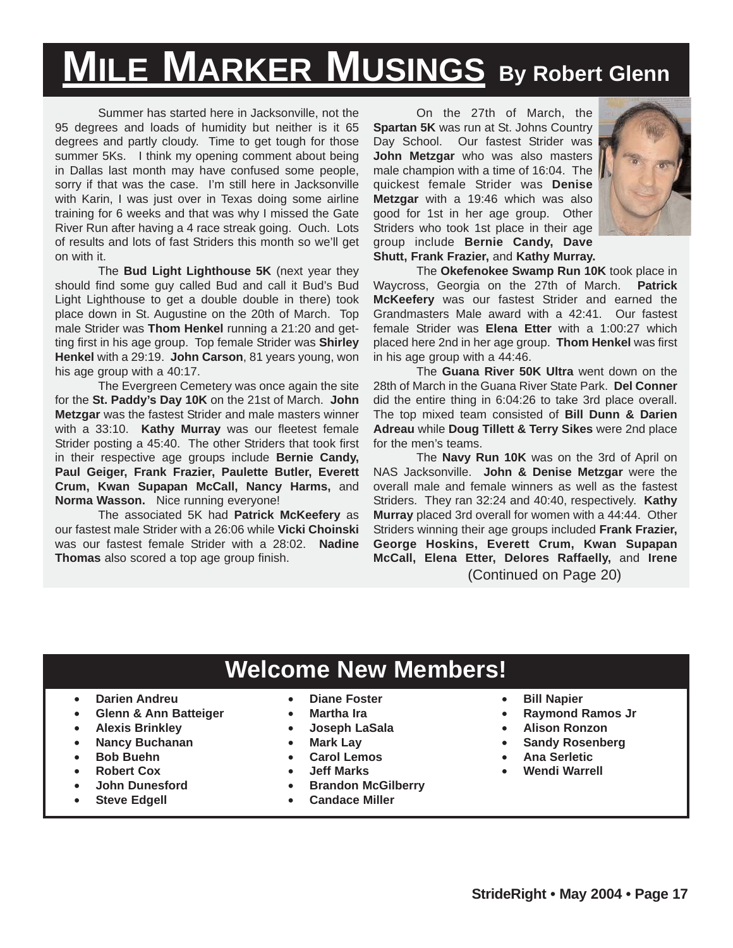# **MILE MARKER MUSINGS By Robert Glenn**

Summer has started here in Jacksonville, not the 95 degrees and loads of humidity but neither is it 65 degrees and partly cloudy. Time to get tough for those summer 5Ks. I think my opening comment about being in Dallas last month may have confused some people, sorry if that was the case. I'm still here in Jacksonville with Karin, I was just over in Texas doing some airline training for 6 weeks and that was why I missed the Gate River Run after having a 4 race streak going. Ouch. Lots of results and lots of fast Striders this month so we'll get on with it.

The **Bud Light Lighthouse 5K** (next year they should find some guy called Bud and call it Bud's Bud Light Lighthouse to get a double double in there) took place down in St. Augustine on the 20th of March. Top male Strider was **Thom Henkel** running a 21:20 and getting first in his age group. Top female Strider was **Shirley Henkel** with a 29:19. **John Carson**, 81 years young, won his age group with a 40:17.

The Evergreen Cemetery was once again the site for the **St. Paddy's Day 10K** on the 21st of March. **John Metzgar** was the fastest Strider and male masters winner with a 33:10. **Kathy Murray** was our fleetest female Strider posting a 45:40. The other Striders that took first in their respective age groups include **Bernie Candy, Paul Geiger, Frank Frazier, Paulette Butler, Everett Crum, Kwan Supapan McCall, Nancy Harms,** and **Norma Wasson.** Nice running everyone!

The associated 5K had **Patrick McKeefery** as our fastest male Strider with a 26:06 while **Vicki Choinski** was our fastest female Strider with a 28:02. **Nadine Thomas** also scored a top age group finish.

On the 27th of March, the **Spartan 5K** was run at St. Johns Country Day School. Our fastest Strider was **John Metzgar** who was also masters male champion with a time of 16:04. The quickest female Strider was **Denise Metzgar** with a 19:46 which was also good for 1st in her age group. Other Striders who took 1st place in their age group include **Bernie Candy, Dave Shutt, Frank Frazier,** and **Kathy Murray.**



The **Okefenokee Swamp Run 10K** took place in Waycross, Georgia on the 27th of March. **Patrick McKeefery** was our fastest Strider and earned the Grandmasters Male award with a 42:41. Our fastest female Strider was **Elena Etter** with a 1:00:27 which placed here 2nd in her age group. **Thom Henkel** was first in his age group with a 44:46.

The **Guana River 50K Ultra** went down on the 28th of March in the Guana River State Park. **Del Conner** did the entire thing in 6:04:26 to take 3rd place overall. The top mixed team consisted of **Bill Dunn & Darien Adreau** while **Doug Tillett & Terry Sikes** were 2nd place for the men's teams.

The **Navy Run 10K** was on the 3rd of April on NAS Jacksonville. **John & Denise Metzgar** were the overall male and female winners as well as the fastest Striders. They ran 32:24 and 40:40, respectively. **Kathy Murray** placed 3rd overall for women with a 44:44. Other Striders winning their age groups included **Frank Frazier, George Hoskins, Everett Crum, Kwan Supapan McCall, Elena Etter, Delores Raffaelly,** and **Irene** (Continued on Page 20)

### **Welcome New Members!**

- **Darien Andreu**
- **Glenn & Ann Batteiger**
- **Alexis Brinkley**
- **Nancy Buchanan**
- **Bob Buehn**
- **Robert Cox**
- **John Dunesford**
- **Steve Edgell**
- **Diane Foster**
- **Martha Ira**
- **Joseph LaSala**
- **Mark Lay**
- **Carol Lemos**
- **Jeff Marks**
- **Brandon McGilberry**
- **Candace Miller**
- **Bill Napier**
- **Raymond Ramos Jr**
- **Alison Ronzon**
- **Sandy Rosenberg**
- **Ana Serletic**
- **Wendi Warrell**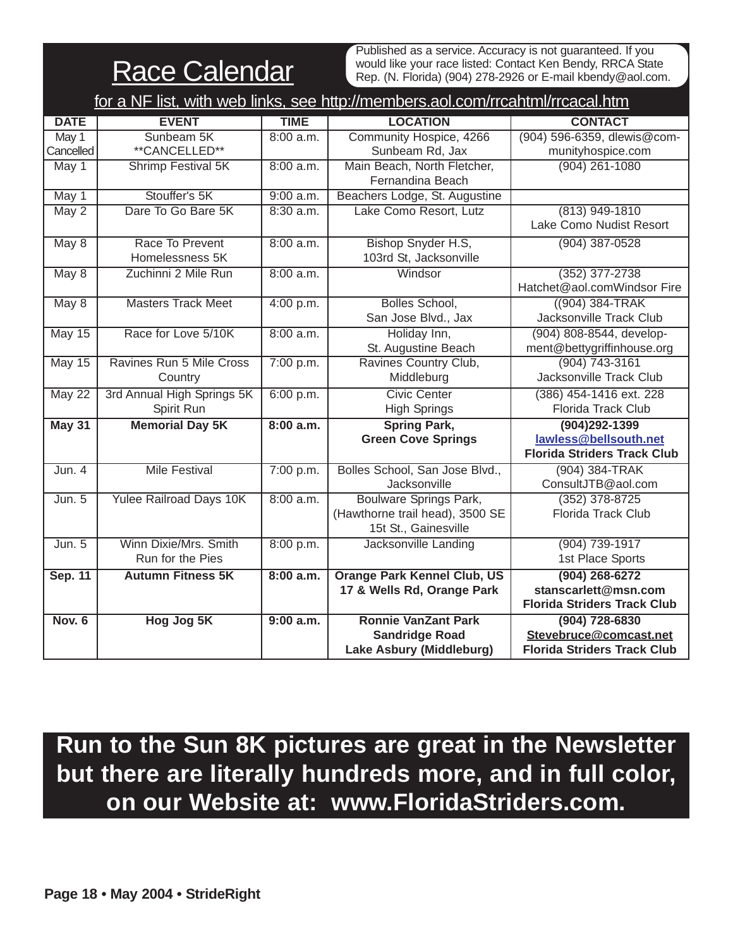**Race Calendar** 

Published as a service. Accuracy is not guaranteed. If you would like your race listed: Contact Ken Bendy, RRCA State Rep. (N. Florida) (904) 278-2926 or E-mail kbendy@aol.com.

| for a NF list, with web links, see http://members.aol.com/rrcahtml/rrcacal.htm |                                |             |                                    |                                    |
|--------------------------------------------------------------------------------|--------------------------------|-------------|------------------------------------|------------------------------------|
| <b>DATE</b>                                                                    | <b>EVENT</b>                   | <b>TIME</b> | <b>LOCATION</b>                    | <b>CONTACT</b>                     |
| May 1                                                                          | Sunbeam 5K                     | 8:00 a.m.   | Community Hospice, 4266            | (904) 596-6359, dlewis@com-        |
| Cancelled                                                                      | **CANCELLED**                  |             | Sunbeam Rd, Jax                    | munityhospice.com                  |
| May 1                                                                          | <b>Shrimp Festival 5K</b>      | 8:00 a.m.   | Main Beach, North Fletcher,        | $(904)$ 261-1080                   |
|                                                                                |                                |             | Fernandina Beach                   |                                    |
| May 1                                                                          | Stouffer's 5K                  | 9:00 a.m.   | Beachers Lodge, St. Augustine      |                                    |
| $\overline{May\ 2}$                                                            | Dare To Go Bare 5K             | $8:30$ a.m. | Lake Como Resort, Lutz             | $(813)$ 949-1810                   |
|                                                                                |                                |             |                                    | Lake Como Nudist Resort            |
| May 8                                                                          | Race To Prevent                | 8:00 a.m.   | Bishop Snyder H.S,                 | $(904)$ 387-0528                   |
|                                                                                | Homelessness 5K                |             | 103rd St, Jacksonville             |                                    |
| May 8                                                                          | Zuchinni 2 Mile Run            | 8:00 a.m.   | Windsor                            | $(352)$ 377-2738                   |
|                                                                                |                                |             |                                    | Hatchet@aol.comWindsor Fire        |
| May 8                                                                          | <b>Masters Track Meet</b>      | 4:00 p.m.   | <b>Bolles School,</b>              | $(904)$ 384-TRAK                   |
|                                                                                |                                |             | San Jose Blvd., Jax                | Jacksonville Track Club            |
| May 15                                                                         | Race for Love 5/10K            | 8:00 a.m.   | Holiday Inn,                       | (904) 808-8544, develop-           |
|                                                                                |                                |             | St. Augustine Beach                | ment@bettygriffinhouse.org         |
| <b>May 15</b>                                                                  | Ravines Run 5 Mile Cross       | 7:00 p.m.   | Ravines Country Club,              | $(904)$ 743-3161                   |
|                                                                                | Country                        |             | Middleburg                         | Jacksonville Track Club            |
| May 22                                                                         | 3rd Annual High Springs 5K     | 6:00 p.m.   | <b>Civic Center</b>                | (386) 454-1416 ext. 228            |
|                                                                                | Spirit Run                     |             | <b>High Springs</b>                | Florida Track Club                 |
| May 31                                                                         | <b>Memorial Day 5K</b>         | 8:00 a.m.   | <b>Spring Park,</b>                | $(904)292 - 1399$                  |
|                                                                                |                                |             | <b>Green Cove Springs</b>          | lawless@bellsouth.net              |
|                                                                                |                                |             |                                    | <b>Florida Striders Track Club</b> |
| Jun. 4                                                                         | <b>Mile Festival</b>           | 7:00 p.m.   | Bolles School, San Jose Blvd.,     | (904) 384-TRAK                     |
|                                                                                |                                |             | Jacksonville                       | ConsultJTB@aol.com                 |
| Jun. 5                                                                         | <b>Yulee Railroad Days 10K</b> | 8:00 a.m.   | <b>Boulware Springs Park,</b>      | $(352)$ 378-8725                   |
|                                                                                |                                |             | (Hawthorne trail head), 3500 SE    | <b>Florida Track Club</b>          |
|                                                                                |                                |             | 15t St., Gainesville               |                                    |
| Jun. 5                                                                         | Winn Dixie/Mrs. Smith          | 8:00 p.m.   | Jacksonville Landing               | $(904) 739-1917$                   |
|                                                                                | Run for the Pies               |             |                                    | 1st Place Sports                   |
| <b>Sep. 11</b>                                                                 | <b>Autumn Fitness 5K</b>       | 8:00 a.m.   | <b>Orange Park Kennel Club, US</b> | $(904)$ 268-6272                   |
|                                                                                |                                |             | 17 & Wells Rd, Orange Park         | stanscarlett@msn.com               |
|                                                                                |                                |             |                                    | <b>Florida Striders Track Club</b> |
| <b>Nov. 6</b>                                                                  | Hog Jog 5K                     | 9:00 a.m.   | <b>Ronnie VanZant Park</b>         | (904) 728-6830                     |
|                                                                                |                                |             | <b>Sandridge Road</b>              | Stevebruce@comcast.net             |
|                                                                                |                                |             | Lake Asbury (Middleburg)           | <b>Florida Striders Track Club</b> |

**Run to the Sun 8K pictures are great in the Newsletter but there are literally hundreds more, and in full color, on our Website at: www.FloridaStriders.com.**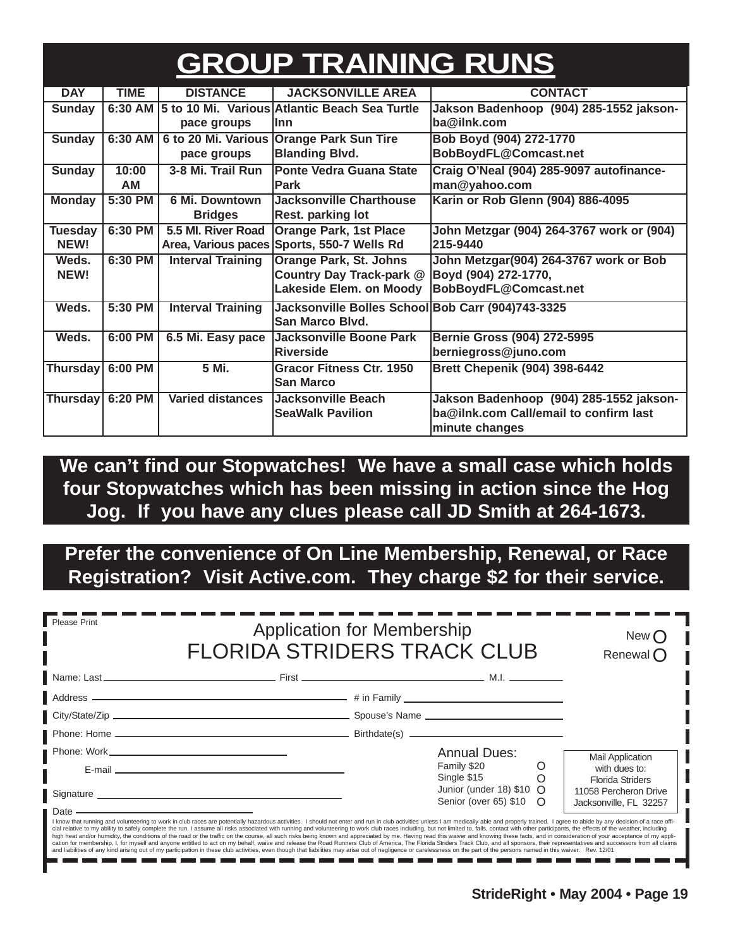## **GROUP TRAINING RUNS**

| <b>DAY</b>       | <b>TIME</b> | <b>DISTANCE</b>          | <b>JACKSONVILLE AREA</b>                          | <b>CONTACT</b>                            |  |
|------------------|-------------|--------------------------|---------------------------------------------------|-------------------------------------------|--|
| <b>Sunday</b>    | 6:30 AM     |                          | 5 to 10 Mi. Various Atlantic Beach Sea Turtle     | Jakson Badenhoop (904) 285-1552 jakson-   |  |
|                  |             | pace groups              | llnn                                              | ba@ilnk.com                               |  |
| <b>Sunday</b>    | 6:30 AM     | 6 to 20 Mi. Various      | <b>Orange Park Sun Tire</b>                       | Bob Boyd (904) 272-1770                   |  |
|                  |             | pace groups              | <b>Blanding Blvd.</b><br>BobBoydFL@Comcast.net    |                                           |  |
| <b>Sunday</b>    | 10:00       | 3-8 Mi. Trail Run        | <b>Ponte Vedra Guana State</b>                    | Craig O'Neal (904) 285-9097 autofinance-  |  |
|                  | AM          |                          | <b>Park</b>                                       | man@yahoo.com                             |  |
| <b>Monday</b>    | 5:30 PM     | 6 Mi. Downtown           | <b>Jacksonville Charthouse</b>                    | Karin or Rob Glenn (904) 886-4095         |  |
|                  |             | <b>Bridges</b>           | Rest. parking lot                                 |                                           |  |
| <b>Tuesday</b>   | 6:30 PM     | 5.5 MI. River Road       | <b>Orange Park, 1st Place</b>                     | John Metzgar (904) 264-3767 work or (904) |  |
| NEW!             |             | Area, Various paces      | Sports, 550-7 Wells Rd                            | 215-9440                                  |  |
| Weds.            | 6:30 PM     | <b>Interval Training</b> | Orange Park, St. Johns                            | John Metzgar(904) 264-3767 work or Bob    |  |
| NEW!             |             |                          | Country Day Track-park @                          | Boyd (904) 272-1770,                      |  |
|                  |             |                          | Lakeside Elem. on Moody                           | BobBoydFL@Comcast.net                     |  |
| Weds.            | 5:30 PM     | <b>Interval Training</b> | Jacksonville Bolles School Bob Carr (904)743-3325 |                                           |  |
|                  |             |                          | <b>San Marco Blvd.</b>                            |                                           |  |
| Weds.            | 6:00 PM     | 6.5 Mi. Easy pace        | Jacksonville Boone Park                           | Bernie Gross (904) 272-5995               |  |
|                  |             |                          | <b>Riverside</b>                                  | berniegross@juno.com                      |  |
| Thursday 6:00 PM |             | 5 Mi.                    | <b>Gracor Fitness Ctr. 1950</b>                   | <b>Brett Chepenik (904) 398-6442</b>      |  |
|                  |             |                          | <b>San Marco</b>                                  |                                           |  |
| Thursday         | 6:20 PM     | <b>Varied distances</b>  | Jacksonville Beach                                | Jakson Badenhoop (904) 285-1552 jakson-   |  |
|                  |             |                          | <b>SeaWalk Pavilion</b>                           | ba@ilnk.com Call/email to confirm last    |  |
|                  |             |                          |                                                   | minute changes                            |  |

**We can't find our Stopwatches! We have a small case which holds four Stopwatches which has been missing in action since the Hog Jog. If you have any clues please call JD Smith at 264-1673.**

**Prefer the convenience of On Line Membership, Renewal, or Race Registration? Visit Active.com. They charge \$2 for their service.**

| Please Print                                                                                                                                                                                                                                                                                                                                                                                                                                                                                                                                                                                                                                                                                                                   | <b>Application for Membership</b><br><b>FLORIDA STRIDERS TRACK CLUB</b> |                                                      |                                                                            |
|--------------------------------------------------------------------------------------------------------------------------------------------------------------------------------------------------------------------------------------------------------------------------------------------------------------------------------------------------------------------------------------------------------------------------------------------------------------------------------------------------------------------------------------------------------------------------------------------------------------------------------------------------------------------------------------------------------------------------------|-------------------------------------------------------------------------|------------------------------------------------------|----------------------------------------------------------------------------|
|                                                                                                                                                                                                                                                                                                                                                                                                                                                                                                                                                                                                                                                                                                                                |                                                                         |                                                      |                                                                            |
|                                                                                                                                                                                                                                                                                                                                                                                                                                                                                                                                                                                                                                                                                                                                |                                                                         |                                                      |                                                                            |
|                                                                                                                                                                                                                                                                                                                                                                                                                                                                                                                                                                                                                                                                                                                                |                                                                         |                                                      |                                                                            |
|                                                                                                                                                                                                                                                                                                                                                                                                                                                                                                                                                                                                                                                                                                                                |                                                                         |                                                      |                                                                            |
|                                                                                                                                                                                                                                                                                                                                                                                                                                                                                                                                                                                                                                                                                                                                |                                                                         | <b>Annual Dues:</b>                                  | <b>Mail Application</b>                                                    |
| E-mail entertainment and the contract of the contract of the contract of the contract of the contract of the contract of the contract of the contract of the contract of the contract of the contract of the contract of the c                                                                                                                                                                                                                                                                                                                                                                                                                                                                                                 |                                                                         | Family \$20<br>Single \$15                           | with dues to:                                                              |
| Signature Superior Contract Contract Contract Contract Contract Contract Contract Contract Contract Contract Contract Contract Contract Contract Contract Contract Contract Contract Contract Contract Contract Contract Contr                                                                                                                                                                                                                                                                                                                                                                                                                                                                                                 |                                                                         | Junior (under 18) $$10$ O<br>Senior (over 65) \$10 O | <b>Florida Striders</b><br>11058 Percheron Drive<br>Jacksonville, FL 32257 |
| Date ———————————————————<br>I know that running and volunteering to work in club races are potentially hazardous activities. I should not enter and run in club activities unless I am medically able and properly trained. I agree to abide by any decisi<br>cial relative to my ability to safely complete the run. I assume all risks associated with running and volunteering to work club races including, but not limited to, falls, contact with other participants, the effects of t<br>high heat and/or humidity, the conditions of the road or the traffic on the course, all such risks being known and appreciated by me. Having read this waiver and knowing these facts, and in consideration of your acceptance |                                                                         |                                                      |                                                                            |